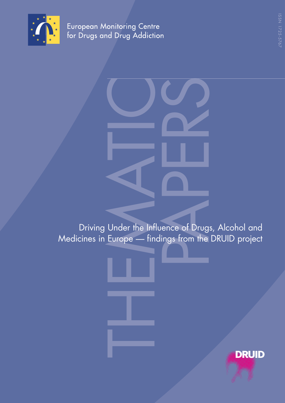

European Monitoring Centre<br>for Drugs and Drug Addiction

Under the Inf **PAPER SERVER SERVER THE SERVER SERVER SERVER SERVER SERVER SERVER SERVER SERVER SERVER SERVER SERVER SERVER SERVER SERVER SERVER SERVER SERVER SERVER SERVER SERVER SERVER SERVER SERVER SERVER SERVER SERVER SERVER SERVER S** Driving Under the Influence of Drugs, Alcohol and Medicines in Europe — findings from the DRUID project

**DRUID**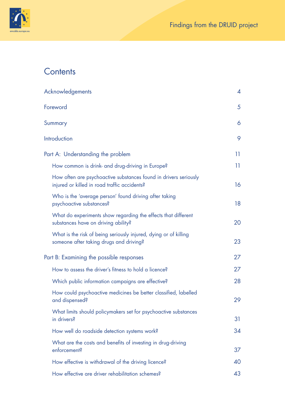

# **Contents**

| Acknowledgements                                                                                                 | 4  |
|------------------------------------------------------------------------------------------------------------------|----|
| Foreword                                                                                                         | 5  |
| Summary                                                                                                          | 6  |
| Introduction                                                                                                     | 9  |
| Part A: Understanding the problem                                                                                | 11 |
| How common is drink- and drug-driving in Europe?                                                                 | 11 |
| How often are psychoactive substances found in drivers seriously<br>injured or killed in road traffic accidents? | 16 |
| Who is the 'average person' found driving after taking<br>psychoactive substances?                               | 18 |
| What do experiments show regarding the effects that different<br>substances have on driving ability?             | 20 |
| What is the risk of being seriously injured, dying or of killing<br>someone after taking drugs and driving?      | 23 |
| Part B: Examining the possible responses                                                                         | 27 |
| How to assess the driver's fitness to hold a licence?                                                            | 27 |
| Which public information campaigns are effective?                                                                | 28 |
| How could psychoactive medicines be better classified, labelled<br>and dispensed?                                | 29 |
| What limits should policymakers set for psychoactive substances<br>in drivers?                                   | 31 |
| How well do roadside detection systems work?                                                                     | 34 |
| What are the costs and benefits of investing in drug-driving<br>enforcement?                                     | 37 |
| How effective is withdrawal of the driving licence?                                                              | 40 |
| How effective are driver rehabilitation schemes?                                                                 | 43 |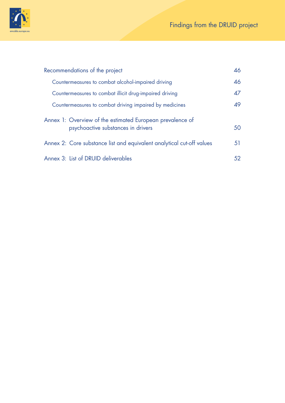

| Recommendations of the project                                                                  | 46 |
|-------------------------------------------------------------------------------------------------|----|
| Countermeasures to combat alcohol-impaired driving                                              | 46 |
| Countermeasures to combat illicit drug-impaired driving                                         | 47 |
| Countermeasures to combat driving impaired by medicines                                         | 49 |
| Annex 1: Overview of the estimated European prevalence of<br>psychoactive substances in drivers | 50 |
| Annex 2: Core substance list and equivalent analytical cut-off values                           | 51 |
| Annex 3: List of DRUID deliverables                                                             | 52 |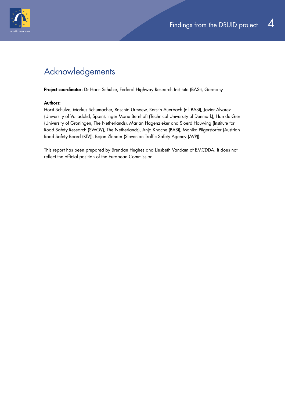<span id="page-3-0"></span>

## Acknowledgements

Project coordinator: Dr Horst Schulze, Federal Highway Research Institute (BASt), Germany

#### Authors:

Horst Schulze, Markus Schumacher, Raschid Urmeew, Kerstin Auerbach (all BASt), Javier Alvarez (University of Valladolid, Spain), Inger Marie Bernhoft (Technical University of Denmark), Han de Gier (University of Groningen, The Netherlands), Marjan Hagenzieker and Sjoerd Houwing (Institute for Road Safety Research (SWOV), The Netherlands), Anja Knoche (BASt), Monika Pilgerstorfer (Austrian Road Safety Board (KfV)), Bojan Zlender (Slovenian Traffic Safety Agency (AVP)).

This report has been prepared by Brendan Hughes and Liesbeth Vandam of EMCDDA. It does not reflect the official position of the European Commission.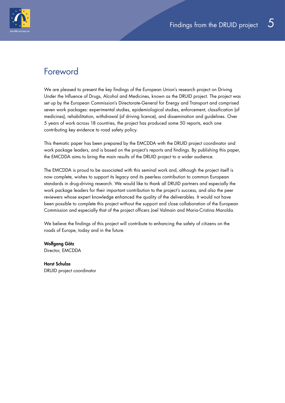<span id="page-4-0"></span>

## Foreword

We are pleased to present the key findings of the European Union's research project on Driving Under the Influence of Drugs, Alcohol and Medicines, known as the DRUID project. The project was set up by the European Commission's Directorate-General for Energy and Transport and comprised seven work packages: experimental studies, epidemiological studies, enforcement, classification (of medicines), rehabilitation, withdrawal (of driving licence), and dissemination and guidelines. Over 5 years of work across 18 countries, the project has produced some 50 reports, each one contributing key evidence to road safety policy.

This thematic paper has been prepared by the EMCDDA with the DRUID project coordinator and work package leaders, and is based on the project's reports and findings. By publishing this paper, the EMCDDA aims to bring the main results of the DRUID project to a wider audience.

The EMCDDA is proud to be associated with this seminal work and, although the project itself is now complete, wishes to support its legacy and its peerless contribution to common European standards in drug-driving research. We would like to thank all DRUID partners and especially the work package leaders for their important contribution to the project's success, and also the peer reviewers whose expert knowledge enhanced the quality of the deliverables. It would not have been possible to complete this project without the support and close collaboration of the European Commission and especially that of the project officers Joel Valmain and Maria-Cristina Marolda.

We believe the findings of this project will contribute to enhancing the safety of citizens on the roads of Europe, today and in the future.

Wolfgang Götz Director, EMCDDA

Horst Schulze DRUID project coordinator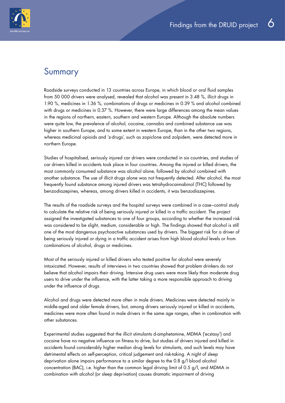<span id="page-5-0"></span>

## Summary

Roadside surveys conducted in 13 countries across Europe, in which blood or oral fluid samples from 50 000 drivers were analysed, revealed that alcohol was present in 3.48 %, illicit drugs in 1.90 %, medicines in 1.36 %, combinations of drugs or medicines in 0.39 % and alcohol combined with drugs or medicines in 0.37 %. However, there were large differences among the mean values in the regions of northern, eastern, southern and western Europe. Although the absolute numbers were quite low, the prevalence of alcohol, cocaine, cannabis and combined substance use was higher in southern Europe, and to some extent in western Europe, than in the other two regions, whereas medicinal opioids and 'z-drugs', such as zopiclone and zolpidem, were detected more in northern Europe.

Studies of hospitalised, seriously injured car drivers were conducted in six countries, and studies of car drivers killed in accidents took place in four countries. Among the injured or killed drivers, the most commonly consumed substance was alcohol alone, followed by alcohol combined with another substance. The use of illicit drugs alone was not frequently detected. After alcohol, the most frequently found substance among injured drivers was tetrahydrocannabinol (THC) followed by benzodiazepines, whereas, among drivers killed in accidents, it was benzodiazepines.

The results of the roadside surveys and the hospital surveys were combined in a case–control study to calculate the relative risk of being seriously injured or killed in a traffic accident. The project assigned the investigated substances to one of four groups, according to whether the increased risk was considered to be slight, medium, considerable or high. The findings showed that alcohol is still one of the most dangerous psychoactive substances used by drivers. The biggest risk for a driver of being seriously injured or dying in a traffic accident arises from high blood alcohol levels or from combinations of alcohol, drugs or medicines.

Most of the seriously injured or killed drivers who tested positive for alcohol were severely intoxicated. However, results of interviews in two countries showed that problem drinkers do not believe that alcohol impairs their driving. Intensive drug users were more likely than moderate drug users to drive under the influence, with the latter taking a more responsible approach to driving under the influence of drugs.

Alcohol and drugs were detected more often in male drivers. Medicines were detected mainly in middle-aged and older female drivers, but, among drivers seriously injured or killed in accidents, medicines were more often found in male drivers in the same age ranges, often in combination with other substances.

Experimental studies suggested that the illicit stimulants d-amphetamine, MDMA ('ecstasy') and cocaine have no negative influence on fitness to drive, but studies of drivers injured and killed in accidents found considerably higher median drug levels for stimulants, and such levels may have detrimental effects on self-perception, critical judgement and risk-taking. A night of sleep deprivation alone impairs performance to a similar degree to the 0.8 g/l blood alcohol concentration (BAC), i.e. higher than the common legal driving limit of 0.5 g/l, and MDMA in combination with alcohol (or sleep deprivation) causes dramatic impairment of driving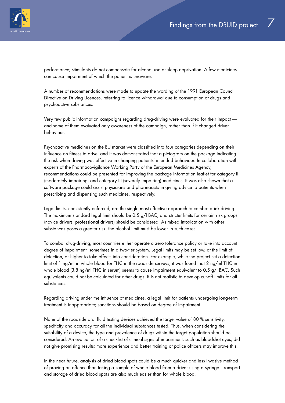

performance; stimulants do not compensate for alcohol use or sleep deprivation. A few medicines can cause impairment of which the patient is unaware.

A number of recommendations were made to update the wording of the 1991 European Council Directive on Driving Licences, referring to licence withdrawal due to consumption of drugs and psychoactive substances.

Very few public information campaigns regarding drug-driving were evaluated for their impact and some of them evaluated only awareness of the campaign, rather than if it changed driver behaviour.

Psychoactive medicines on the EU market were classified into four categories depending on their influence on fitness to drive, and it was demonstrated that a pictogram on the package indicating the risk when driving was effective in changing patients' intended behaviour. In collaboration with experts of the Pharmacovigilance Working Party of the European Medicines Agency, recommendations could be presented for improving the package information leaflet for category II (moderately impairing) and category III (severely impairing) medicines. It was also shown that a software package could assist physicians and pharmacists in giving advice to patients when prescribing and dispensing such medicines, respectively.

Legal limits, consistently enforced, are the single most effective approach to combat drink-driving. The maximum standard legal limit should be 0.5 g/l BAC, and stricter limits for certain risk groups (novice drivers, professional drivers) should be considered. As mixed intoxication with other substances poses a greater risk, the alcohol limit must be lower in such cases.

To combat drug-driving, most countries either operate a zero tolerance policy or take into account degree of impairment, sometimes in a two-tier system. Legal limits may be set low, at the limit of detection, or higher to take effects into consideration. For example, while the project set a detection limit of 1 ng/ml in whole blood for THC in the roadside surveys, it was found that 2 ng/ml THC in whole blood (3.8 ng/ml THC in serum) seems to cause impairment equivalent to 0.5 g/l BAC. Such equivalents could not be calculated for other drugs. It is not realistic to develop cut-off limits for all substances.

Regarding driving under the influence of medicines, a legal limit for patients undergoing long-term treatment is inappropriate; sanctions should be based on degree of impairment.

None of the roadside oral fluid testing devices achieved the target value of 80 % sensitivity, specificity and accuracy for all the individual substances tested. Thus, when considering the suitability of a device, the type and prevalence of drugs within the target population should be considered. An evaluation of a checklist of clinical signs of impairment, such as bloodshot eyes, did not give promising results; more experience and better training of police officers may improve this.

In the near future, analysis of dried blood spots could be a much quicker and less invasive method of proving an offence than taking a sample of whole blood from a driver using a syringe. Transport and storage of dried blood spots are also much easier than for whole blood.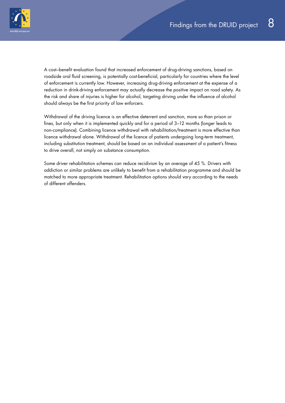

A cost–benefit evaluation found that increased enforcement of drug-driving sanctions, based on roadside oral fluid screening, is potentially cost-beneficial, particularly for countries where the level of enforcement is currently low. However, increasing drug-driving enforcement at the expense of a reduction in drink-driving enforcement may actually decrease the positive impact on road safety. As the risk and share of injuries is higher for alcohol, targeting driving under the influence of alcohol should always be the first priority of law enforcers.

Withdrawal of the driving licence is an effective deterrent and sanction, more so than prison or fines, but only when it is implemented quickly and for a period of 3–12 months (longer leads to non-compliance). Combining licence withdrawal with rehabilitation/treatment is more effective than licence withdrawal alone. Withdrawal of the licence of patients undergoing long-term treatment, including substitution treatment, should be based on an individual assessment of a patient's fitness to drive overall, not simply on substance consumption.

Some driver rehabilitation schemes can reduce recidivism by an average of 45 %. Drivers with addiction or similar problems are unlikely to benefit from a rehabilitation programme and should be matched to more appropriate treatment. Rehabilitation options should vary according to the needs of different offenders.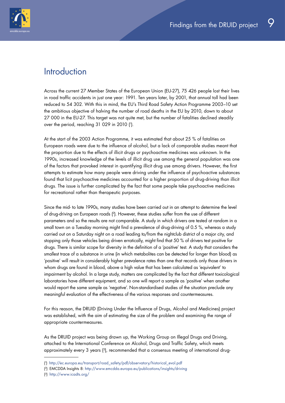<span id="page-8-0"></span>

## **Introduction**

Across the current 27 Member States of the European Union (EU-27), 75 426 people lost their lives in road traffic accidents in just one year: 1991. Ten years later, by 2001, that annual toll had been reduced to 54 302. With this in mind, the EU's Third Road Safety Action Programme 2003–10 set the ambitious objective of halving the number of road deaths in the EU by 2010, down to about 27 000 in the EU-27. This target was not quite met, but the number of fatalities declined steadily over the period, reaching 31 029 in 2010 ( 1 ).

At the start of the 2003 Action Programme, it was estimated that about 25 % of fatalities on European roads were due to the influence of alcohol, but a lack of comparable studies meant that the proportion due to the effects of illicit drugs or psychoactive medicines was unknown. In the 1990s, increased knowledge of the levels of illicit drug use among the general population was one of the factors that provoked interest in quantifying illicit drug use among drivers. However, the first attempts to estimate how many people were driving under the influence of psychoactive substances found that licit psychoactive medicines accounted for a higher proportion of drug-driving than illicit drugs. The issue is further complicated by the fact that some people take psychoactive medicines for recreational rather than therapeutic purposes.

Since the mid- to late 1990s, many studies have been carried out in an attempt to determine the level of drug-driving on European roads ( 2). However, these studies suffer from the use of different parameters and so the results are not comparable. A study in which drivers are tested at random in a small town on a Tuesday morning might find a prevalence of drug-driving of 0.5 %, whereas a study carried out on a Saturday night on a road leading to/from the nightclub district of a major city, and stopping only those vehicles being driven erratically, might find that 50 % of drivers test positive for drugs. There is similar scope for diversity in the definition of a 'positive' test. A study that considers the smallest trace of a substance in urine (in which metabolites can be detected for longer than blood) as 'positive' will result in considerably higher prevalence rates than one that records only those drivers in whom drugs are found in blood, above a high value that has been calculated as 'equivalent' to impairment by alcohol. In a large study, matters are complicated by the fact that different toxicological laboratories have different equipment, and so one will report a sample as 'positive' when another would report the same sample as 'negative'. Non-standardised studies of the situation preclude any meaningful evaluation of the effectiveness of the various responses and countermeasures.

For this reason, the DRUID (Driving Under the Influence of Drugs, Alcohol and Medicines) project was established, with the aim of estimating the size of the problem and examining the range of appropriate countermeasures.

As the DRUID project was being drawn up, the Working Group on Illegal Drugs and Driving, attached to the International Conference on Alcohol, Drugs and Traffic Safety, which meets approximately every 3 years (3), recommended that a consensus meeting of international drug-

<sup>(</sup> 1 ) http://ec.europa.eu/transport/road\_safety/pdf/observatory/historical\_evol.pdf

<sup>(</sup> 2) EMCDDA Insights 8: http://www.emcdda.europa.eu/publications/insights/driving

<sup>(</sup> 3) http://www.icadts.org/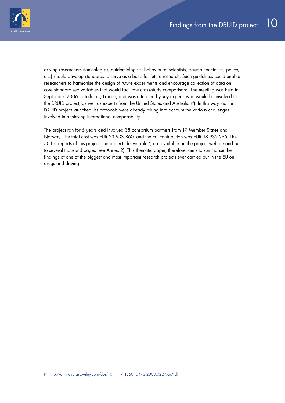

driving researchers (toxicologists, epidemiologists, behavioural scientists, trauma specialists, police, etc.) should develop standards to serve as a basis for future research. Such guidelines could enable researchers to harmonise the design of future experiments and encourage collection of data on core standardised variables that would facilitate cross-study comparisons. The meeting was held in September 2006 in Talloires, France, and was attended by key experts who would be involved in the DRUID project, as well as experts from the United States and Australia ( 4). In this way, as the DRUID project launched, its protocols were already taking into account the various challenges involved in achieving international comparability.

The project ran for 5 years and involved 38 consortium partners from 17 Member States and Norway. The total cost was EUR 23 933 860, and the EC contribution was EUR 18 932 265. The 50 full reports of this project (the project 'deliverables') are available on the project website and run to several thousand pages (see Annex 2). This thematic paper, therefore, aims to summarise the findings of one of the biggest and most important research projects ever carried out in the EU on drugs and driving.

<sup>(</sup> 4) http://onlinelibrary.wiley.com/doi/10.1111/j.1360–0443.2008.02277.x/full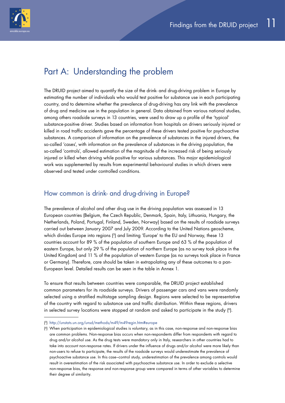<span id="page-10-0"></span>

## Part A: Understanding the problem

The DRUID project aimed to quantify the size of the drink- and drug-driving problem in Europe by estimating the number of individuals who would test positive for substance use in each participating country, and to determine whether the prevalence of drug-driving has any link with the prevalence of drug and medicine use in the population in general. Data obtained from various national studies, among others roadside surveys in 13 countries, were used to draw up a profile of the 'typical' substance-positive driver. Studies based on information from hospitals on drivers seriously injured or killed in road traffic accidents gave the percentage of these drivers tested positive for psychoactive substances. A comparison of information on the prevalence of substances in the injured drivers, the so-called 'cases', with information on the prevalence of substances in the driving population, the so-called 'controls', allowed estimation of the magnitude of the increased risk of being seriously injured or killed when driving while positive for various substances. This major epidemiological work was supplemented by results from experimental behavioural studies in which drivers were observed and tested under controlled conditions.

### How common is drink- and drug-driving in Europe?

The prevalence of alcohol and other drug use in the driving population was assessed in 13 European countries (Belgium, the Czech Republic, Denmark, Spain, Italy, Lithuania, Hungary, the Netherlands, Poland, Portugal, Finland, Sweden, Norway) based on the results of roadside surveys carried out between January 2007 and July 2009. According to the United Nations geoscheme, which divides Europe into regions ( 5) and limiting 'Europe' to the EU and Norway, these 13 countries account for 89 % of the population of southern Europe and 63 % of the population of eastern Europe, but only 29 % of the population of northern Europe (as no survey took place in the United Kingdom) and 11 % of the population of western Europe (as no surveys took place in France or Germany). Therefore, care should be taken in extrapolating any of these outcomes to a pan-European level. Detailed results can be seen in the table in Annex 1.

To ensure that results between countries were comparable, the DRUID project established common parameters for its roadside surveys. Drivers of passenger cars and vans were randomly selected using a stratified multistage sampling design. Regions were selected to be representative of the country with regard to substance use and traffic distribution. Within these regions, drivers in selected survey locations were stopped at random and asked to participate in the study ( 6).

<sup>(</sup> 5) http://unstats.un.org/unsd/methods/m49/m49regin.htm#europe

<sup>(</sup> 6) When participation in epidemiological studies is voluntary, as in this case, non-response and non-response bias are common problems. Non-response bias occurs when non-respondents differ from respondents with regard to drug and/or alcohol use. As the drug tests were mandatory only in Italy, researchers in other countries had to take into account non-response rates. If drivers under the influence of drugs and/or alcohol were more likely than non-users to refuse to participate, the results of the roadside surveys would underestimate the prevalence of psychoactive substance use. In this case–control study, underestimation of the prevalence among controls would result in overestimation of the risk associated with psychoactive substance use. In order to exclude a selective non-response bias, the response and non-response group were compared in terms of other variables to determine their degree of similarity.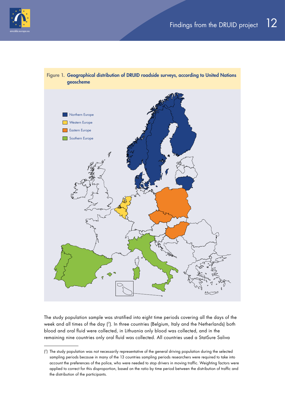



The study population sample was stratified into eight time periods covering all the days of the week and all times of the day ( 7). In three countries (Belgium, Italy and the Netherlands) both blood and oral fluid were collected, in Lithuania only blood was collected, and in the remaining nine countries only oral fluid was collected. All countries used a StatSure Saliva

<sup>(</sup> 7) The study population was not necessarily representative of the general driving population during the selected sampling periods because in many of the 13 countries sampling periods researchers were required to take into account the preferences of the police, who were needed to stop drivers in moving traffic. Weighting factors were applied to correct for this disproportion, based on the ratio by time period between the distribution of traffic and the distribution of the participants.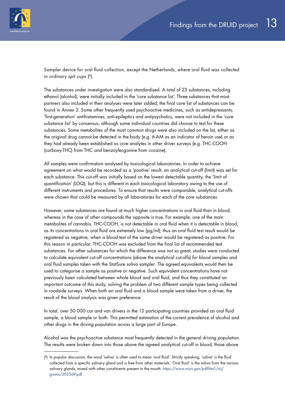

Sampler device for oral fluid collection, except the Netherlands, where oral fluid was collected in ordinary spit cups ( 8).

The substances under investigation were also standardised. A total of 23 substances, including ethanol (alcohol), were initially included in the 'core substance list'. Three substances that most partners also included in their analyses were later added; the final core list of substances can be found in Annex 2. Some other frequently used psychoactive medicines, such as antidepressants, 'first-generation' antihistamines, anti-epileptics and antipsychotics, were not included in the 'core substance list' by consensus, although some individual countries did choose to test for these substances. Some metabolites of the most common drugs were also included on the list, either as the original drug cannot be detected in the body (e.g. 6-AM as an indicator of heroin use) or as they had already been established as core analytes in other driver surveys (e.g. THC-COOH (carboxy-THC) from THC and benzoylecgonine from cocaine).

All samples were confirmation analysed by toxicological laboratories. In order to achieve agreement on what would be recorded as a 'positive' result, an analytical cut-off (limit) was set for each substance. This cut-off was initially based on the lowest detectable quantity, the 'limit of quantification' (LOQ), but this is different in each toxicological laboratory owing to the use of different instruments and procedures. To ensure that results were comparable, analytical cut-offs were chosen that could be measured by all laboratories for each of the core substances.

However, some substances are found at much higher concentrations in oral fluid than in blood, whereas in the case of other compounds the opposite is true. For example, one of the main metabolites of cannabis, THC-COOH, is not detectable in oral fluid when it is detectable in blood, as its concentrations in oral fluid are extremely low (pg/ml); thus an oral fluid test result would be registered as negative, when a blood test of the same driver would be registered as positive. For this reason in particular, THC-COOH was excluded from the final list of recommended test substances. For other substances for which the difference was not so great, studies were conducted to calculate equivalent cut-off concentrations (above the analytical cut-offs) for blood samples and oral fluid samples taken with the StatSure saliva sampler. The agreed equivalents would then be used to categorise a sample as positive or negative. Such equivalent concentrations have not previously been calculated between whole blood and oral fluid, and thus they constituted an important outcome of this study, solving the problem of two different sample types being collected in roadside surveys. When both an oral fluid and a blood sample were taken from a driver, the result of the blood analysis was given preference.

In total, over 50 000 car and van drivers in the 13 participating countries provided an oral fluid sample, a blood sample or both. This permitted estimation of the current prevalence of alcohol and other drugs in the driving population across a large part of Europe.

Alcohol was the psychoactive substance most frequently detected in the general driving population. The results were broken down into those above the agreed analytical cut-off in blood, those above

<sup>(</sup> 8) In popular discussion, the word 'saliva' is often used to mean 'oral fluid'. Strictly speaking, 'saliva' is the fluid collected from a specific salivary gland and is free from other materials. 'Oral fluid' is the saliva from the various salivary glands, mixed with other constituents present in the mouth. https://www.ncjrs.gov/pdffiles1/nij/ grants/203569.pdf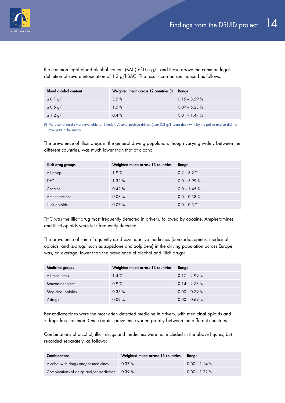

the common legal blood alcohol content (BAC) of 0.5 g/l, and those above the common legal definition of severe intoxication of 1.2 g/l BAC. The results can be summarised as follows:

| <b>Blood alcohol content</b> | Weighted mean across 12 countries (1) | Range            |
|------------------------------|---------------------------------------|------------------|
| $\geq 0.1$ g/l               | 3.5%                                  | $0.15 - 8.59 \%$ |
| $\geq 0.5$ g/l               | 1.5%                                  | $0.07 - 5.23 \%$ |
| $\geq$ 1.2 g/l               | $0.4 \%$                              | $0.01 - 1.47 \%$ |

( 1) No alcohol results were available for Sweden. Alcohol-positive drivers (over 0.2 g/l) were dealt with by the police and so did not take part in the survey.

The prevalence of illicit drugs in the general driving population, though varying widely between the different countries, was much lower than that of alcohol:

| Illicit drug groups | Weighted mean across 13 countries | Range           |
|---------------------|-----------------------------------|-----------------|
| All drugs           | 1.9%                              | $0.2 - 8.2 \%$  |
| <b>THC</b>          | 1.32%                             | $0.0 - 5.99 \%$ |
| Cocaine             | 0.42%                             | $0.0 - 1.45 \%$ |
| Amphetamines        | 0.08%                             | $0.0 - 0.38 \%$ |
| Illicit opioids     | 0.07%                             | $0.0 - 0.3 %$   |

THC was the illicit drug most frequently detected in drivers, followed by cocaine. Amphetamines and illicit opioids were less frequently detected.

The prevalence of some frequently used psychoactive medicines (benzodiazepines, medicinal opioids, and 'z-drugs' such as zopiclone and zolpidem) in the driving population across Europe was, on average, lower than the prevalence of alcohol and illicit drugs:

| Medicine groups   | Weighted mean across 13 countries | Range            |
|-------------------|-----------------------------------|------------------|
| All medicines     | 1.4%                              | $0.17 - 2.99 \%$ |
| Benzodiazepines   | 0.9%                              | $0.14 - 2.73 \%$ |
| Medicinal opioids | 0.35%                             | $0.00 - 0.79 \%$ |
| Z-drugs           | 0.09%                             | $0.00 - 0.69 %$  |

Benzodiazepines were the most often detected medicine in drivers, with medicinal opioids and z-drugs less common. Once again, prevalence varied greatly between the different countries.

Combinations of alcohol, illicit drugs and medicines were not included in the above figures, but recorded separately, as follows:

| <b>Combinations</b>                           | Weighted mean across 13 countries | Range            |
|-----------------------------------------------|-----------------------------------|------------------|
| Alcohol with drugs and/or medicines           | $0.37 \%$                         | $0.00 - 1.14 \%$ |
| Combinations of drugs and/or medicines 0.39 % |                                   | $0.00 - 1.22 \%$ |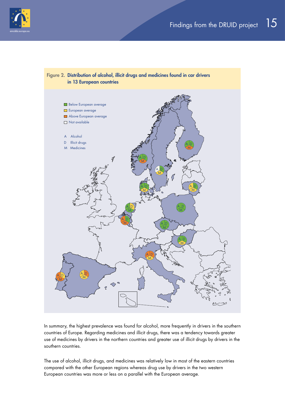



In summary, the highest prevalence was found for alcohol, more frequently in drivers in the southern countries of Europe. Regarding medicines and illicit drugs, there was a tendency towards greater use of medicines by drivers in the northern countries and greater use of illicit drugs by drivers in the southern countries.

The use of alcohol, illicit drugs, and medicines was relatively low in most of the eastern countries compared with the other European regions whereas drug use by drivers in the two western European countries was more or less on a parallel with the European average.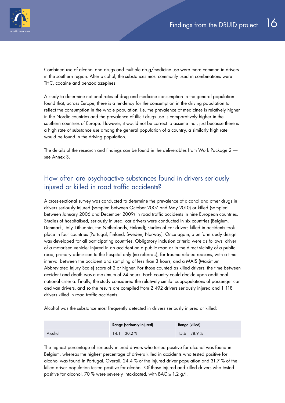<span id="page-15-0"></span>

Combined use of alcohol and drugs and multiple drug/medicine use were more common in drivers in the southern region. After alcohol, the substances most commonly used in combinations were THC, cocaine and benzodiazepines.

A study to determine national rates of drug and medicine consumption in the general population found that, across Europe, there is a tendency for the consumption in the driving population to reflect the consumption in the whole population, i.e. the prevalence of medicines is relatively higher in the Nordic countries and the prevalence of illicit drugs use is comparatively higher in the southern countries of Europe. However, it would not be correct to assume that, just because there is a high rate of substance use among the general population of a country, a similarly high rate would be found in the driving population.

The details of the research and findings can be found in the deliverables from Work Package 2 see Annex 3.

### How often are psychoactive substances found in drivers seriously injured or killed in road traffic accidents?

A cross-sectional survey was conducted to determine the prevalence of alcohol and other drugs in drivers seriously injured (sampled between October 2007 and May 2010) or killed (sampled between January 2006 and December 2009) in road traffic accidents in nine European countries. Studies of hospitalised, seriously injured, car drivers were conducted in six countries (Belgium, Denmark, Italy, Lithuania, the Netherlands, Finland); studies of car drivers killed in accidents took place in four countries (Portugal, Finland, Sweden, Norway). Once again, a uniform study design was developed for all participating countries. Obligatory inclusion criteria were as follows: driver of a motorised vehicle; injured in an accident on a public road or in the direct vicinity of a public road; primary admission to the hospital only (no referrals), for trauma-related reasons, with a time interval between the accident and sampling of less than 3 hours; and a MAIS (Maximum Abbreviated Injury Scale) score of 2 or higher. For those counted as killed drivers, the time between accident and death was a maximum of 24 hours. Each country could decide upon additional national criteria. Finally, the study considered the relatively similar subpopulations of passenger car and van drivers, and so the results are compiled from 2 492 drivers seriously injured and 1 118 drivers killed in road traffic accidents.

Alcohol was the substance most frequently detected in drivers seriously injured or killed:

|         | <b>Range (seriously injured)</b> | Range (killed) |
|---------|----------------------------------|----------------|
| Alcohol | $14.1 - 30.2 \%$                 | $15.6 - 38.9%$ |

The highest percentage of seriously injured drivers who tested positive for alcohol was found in Belgium, whereas the highest percentage of drivers killed in accidents who tested positive for alcohol was found in Portugal. Overall, 24.4 % of the injured driver population and 31.7 % of the killed driver population tested positive for alcohol. Of those injured and killed drivers who tested positive for alcohol, 70 % were severely intoxicated, with BAC  $\geq$  1.2 g/l.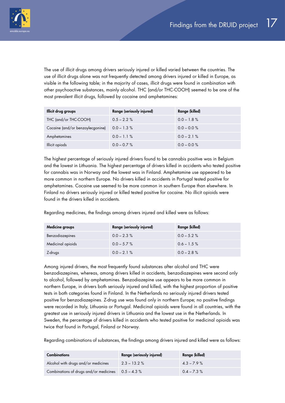

The use of illicit drugs among drivers seriously injured or killed varied between the countries. The use of illicit drugs alone was not frequently detected among drivers injured or killed in Europe, as visible in the following table; in the majority of cases, illicit drugs were found in combination with other psychoactive substances, mainly alcohol. THC (and/or THC-COOH) seemed to be one of the most prevalent illicit drugs, followed by cocaine and amphetamines:

| Illicit drug groups              | Range (seriously injured) | Range (killed) |
|----------------------------------|---------------------------|----------------|
| THC (and/or THC-COOH)            | $0.5 - 2.2 \%$            | $0.0 - 1.8 \%$ |
| Cocaine (and/or benzoylecgonine) | $0.0 - 1.3 \%$            | $0.0 - 0.0 \%$ |
| Amphetamines                     | $0.0 - 1.1 \%$            | $0.0 - 2.1 \%$ |
| Illicit opiods                   | $0.0 - 0.7 \%$            | $0.0 - 0.0 \%$ |

The highest percentage of seriously injured drivers found to be cannabis positive was in Belgium and the lowest in Lithuania. The highest percentage of drivers killed in accidents who tested positive for cannabis was in Norway and the lowest was in Finland. Amphetamine use appeared to be more common in northern Europe. No drivers killed in accidents in Portugal tested positive for amphetamines. Cocaine use seemed to be more common in southern Europe than elsewhere. In Finland no drivers seriously injured or killed tested positive for cocaine. No illicit opioids were found in the drivers killed in accidents.

Regarding medicines, the findings among drivers injured and killed were as follows:

| Medicine groups   | Range (seriously injured) | Range (killed) |
|-------------------|---------------------------|----------------|
| Benzodiazepines   | $0.0 - 2.3 \%$            | $0.0 - 5.2 \%$ |
| Medicinal opioids | $0.0 - 5.7 \%$            | $0.6 - 1.5 \%$ |
| Z-drugs           | $0.0 - 2.1 \%$            | $0.0 - 2.8 \%$ |

Among injured drivers, the most frequently found substances after alcohol and THC were benzodiazepines, whereas, among drivers killed in accidents, benzodiazepines were second only to alcohol, followed by amphetamines. Benzodiazepine use appears to be more common in northern Europe, in drivers both seriously injured and killed, with the highest proportion of positive tests in both categories found in Finland. In the Netherlands no seriously injured drivers tested positive for benzodiazepines. Z-drug use was found only in northern Europe; no positive findings were recorded in Italy, Lithuania or Portugal. Medicinal opioids were found in all countries, with the greatest use in seriously injured drivers in Lithuania and the lowest use in the Netherlands. In Sweden, the percentage of drivers killed in accidents who tested positive for medicinal opioids was twice that found in Portugal, Finland or Norway.

Regarding combinations of substances, the findings among drivers injured and killed were as follows:

| <b>Combinations</b>                                   | <b>Range (seriously injured)</b> | Range (killed) |
|-------------------------------------------------------|----------------------------------|----------------|
| Alcohol with drugs and/or medicines                   | $2.3 - 13.2 \%$                  | $4.3 - 7.9 \%$ |
| Combinations of drugs and/or medicines $0.5 - 4.3 \%$ |                                  | $0.4 - 7.3 \%$ |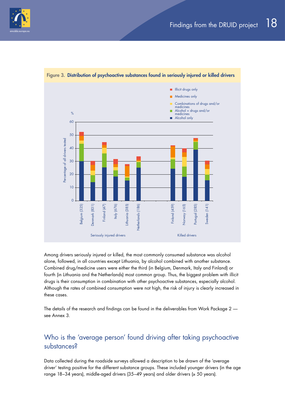<span id="page-17-0"></span>



Figure 3. Distribution of psychoactive substances found in seriously injured or killed drivers

Among drivers seriously injured or killed, the most commonly consumed substance was alcohol alone, followed, in all countries except Lithuania, by alcohol combined with another substance. Combined drug/medicine users were either the third (in Belgium, Denmark, Italy and Finland) or fourth (in Lithuania and the Netherlands) most common group. Thus, the biggest problem with illicit drugs is their consumption in combination with other psychoactive substances, especially alcohol. Although the rates of combined consumption were not high, the risk of injury is clearly increased in these cases.

The details of the research and findings can be found in the deliverables from Work Package 2 see Annex 3.

### Who is the 'average person' found driving after taking psychoactive substances?

Data collected during the roadside surveys allowed a description to be drawn of the 'average driver' testing positive for the different substance groups. These included younger drivers (in the age range 18–34 years), middle-aged drivers (35–49 years) and older drivers (≥ 50 years).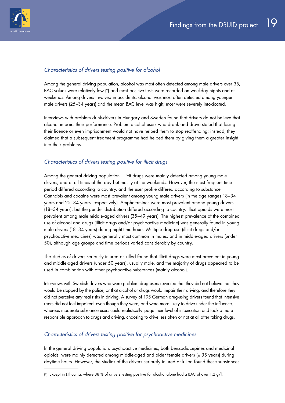

### *Characteristics of drivers testing positive for alcohol*

Among the general driving population, alcohol was most often detected among male drivers over 35, BAC values were relatively low (°) and most positive tests were recorded on weekday nights and at weekends. Among drivers involved in accidents, alcohol was most often detected among younger male drivers (25–34 years) and the mean BAC level was high; most were severely intoxicated.

Interviews with problem drink-drivers in Hungary and Sweden found that drivers do not believe that alcohol impairs their performance. Problem alcohol users who drank and drove stated that losing their licence or even imprisonment would not have helped them to stop reoffending; instead, they claimed that a subsequent treatment programme had helped them by giving them a greater insight into their problems.

### *Characteristics of drivers testing positive for illicit drugs*

Among the general driving population, illicit drugs were mainly detected among young male drivers, and at all times of the day but mostly at the weekends. However, the most frequent time period differed according to country, and the user profile differed according to substance. Cannabis and cocaine were most prevalent among young male drivers (in the age ranges 18–34 years and 25–34 years, respectively). Amphetamines were most prevalent among young drivers (18–34 years), but the gender distribution differed according to country. Illicit opioids were most prevalent among male middle-aged drivers (35–49 years). The highest prevalence of the combined use of alcohol and drugs (illicit drugs and/or psychoactive medicine) was generally found in young male drivers (18–34 years) during night-time hours. Multiple drug use (illicit drugs and/or psychoactive medicines) was generally most common in males, and in middle-aged drivers (under 50), although age groups and time periods varied considerably by country.

The studies of drivers seriously injured or killed found that illicit drugs were most prevalent in young and middle-aged drivers (under 50 years), usually male, and the majority of drugs appeared to be used in combination with other psychoactive substances (mainly alcohol).

Interviews with Swedish drivers who were problem drug users revealed that they did not believe that they would be stopped by the police, or that alcohol or drugs would impair their driving, and therefore they did not perceive any real risks in driving. A survey of 195 German drug-using drivers found that intensive users did not feel impaired, even though they were, and were more likely to drive under the influence, whereas moderate substance users could realistically judge their level of intoxication and took a more responsible approach to drugs and driving, choosing to drive less often or not at all after taking drugs.

### *Characteristics of drivers testing positive for psychoactive medicines*

In the general driving population, psychoactive medicines, both benzodiazepines and medicinal opioids, were mainly detected among middle-aged and older female drivers (≥ 35 years) during daytime hours. However, the studies of the drivers seriously injured or killed found these substances

<sup>(</sup> 9) Except in Lithuania, where 38 % of drivers testing positive for alcohol alone had a BAC of over 1.2 g/l.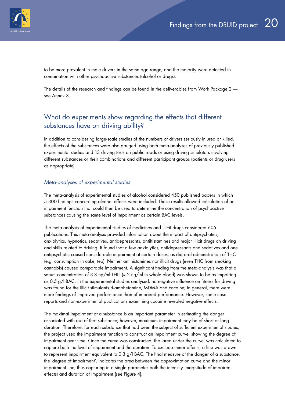<span id="page-19-0"></span>

to be more prevalent in male drivers in the same age range, and the majority were detected in combination with other psychoactive substances (alcohol or drugs).

The details of the research and findings can be found in the deliverables from Work Package 2 see Annex 3.

### What do experiments show regarding the effects that different substances have on driving ability?

In addition to considering large-scale studies of the numbers of drivers seriously injured or killed, the effects of the substances were also gauged using both meta-analyses of previously published experimental studies and 13 driving tests on public roads or using driving simulators involving different substances or their combinations and different participant groups (patients or drug users as appropriate).

### *Meta-analyses of experimental studies*

The meta-analysis of experimental studies of alcohol considered 450 published papers in which 5 300 findings concerning alcohol effects were included. These results allowed calculation of an impairment function that could then be used to determine the concentration of psychoactive substances causing the same level of impairment as certain BAC levels.

The meta-analysis of experimental studies of medicines and illicit drugs considered 605 publications. This meta-analysis provided information about the impact of antipsychotics, anxiolytics, hypnotics, sedatives, antidepressants, antihistamines and major illicit drugs on driving and skills related to driving. It found that a few anxiolytics, antidepressants and sedatives and one antipsychotic caused considerable impairment at certain doses, as did oral administration of THC (e.g. consumption in cake, tea). Neither antihistamines nor illicit drugs (even THC from smoking cannabis) caused comparable impairment. A significant finding from the meta-analysis was that a serum concentration of 3.8 ng/ml THC ( $\approx$  2 ng/ml in whole blood) was shown to be as impairing as 0.5 g/l BAC. In the experimental studies analysed, no negative influence on fitness for driving was found for the illicit stimulants d-amphetamine, MDMA and cocaine; in general, there were more findings of improved performance than of impaired performance. However, some case reports and non-experimental publications examining cocaine revealed negative effects.

The maximal impairment of a substance is an important parameter in estimating the danger associated with use of that substance; however, maximum impairment may be of short or long duration. Therefore, for each substance that had been the subject of sufficient experimental studies, the project used the impairment function to construct an impairment curve, showing the degree of impairment over time. Once the curve was constructed, the 'area under the curve' was calculated to capture both the level of impairment and the duration. To exclude minor effects, a line was drawn to represent impairment equivalent to 0.3 g/l BAC. The final measure of the danger of a substance, the 'degree of impairment', indicates the area between the approximation curve and the minor impairment line, thus capturing in a single parameter both the intensity (magnitude of impaired effects) and duration of impairment (see Figure 4).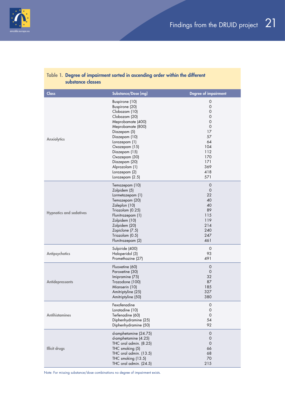

| ANIMING CIMANG                 |                                                                                                                                                                                                                                                                                          |                                                                                                                                                                                   |
|--------------------------------|------------------------------------------------------------------------------------------------------------------------------------------------------------------------------------------------------------------------------------------------------------------------------------------|-----------------------------------------------------------------------------------------------------------------------------------------------------------------------------------|
| <b>Class</b>                   | Substance/Dose [mg]                                                                                                                                                                                                                                                                      | <b>Degree of impairment</b>                                                                                                                                                       |
| Anxiolytics                    | Buspirone (10)<br>Buspirone (20)<br>Clobazam (10)<br>Clobazam (20)<br>Meprobamate (400)<br>Meprobamate (800)<br>Diazepam (5)<br>Diazepam (10)<br>Lorazepam (1)<br>Oxazepam (15)<br>Diazepam (15)<br>Oxazepam (30)<br>Diazepam (20)<br>Alprazolam (1)<br>Lorazepam (2)<br>Lorazepam (2.5) | $\mathsf{O}\xspace$<br>$\mathsf{O}\xspace$<br>$\mathsf O$<br>$\mathsf{O}\xspace$<br>$\mathbf 0$<br>$\mathbf 0$<br>17<br>57<br>64<br>104<br>112<br>170<br>171<br>369<br>418<br>571 |
| <b>Hypnotics and sedatives</b> | Temazepam (10)<br>Zolpidem (5)<br>Lormetazepam (1)<br>Temazepam (20)<br>Zaleplon (10)<br>Triazolam (0.25)<br>Flunitrazepam (1)<br>Zolpidem (10)<br>Zolpidem (20)<br>Zopiclone (7.5)<br>Triazolam (0.5)<br>Flunitrazepam (2)                                                              | $\mathbf 0$<br>$\mathbf 0$<br>22<br>40<br>40<br>89<br>115<br>119<br>214<br>240<br>247<br>461                                                                                      |
| Antipsychotics                 | Sulpiride (400)<br>Haloperidol (3)<br>Promethazine (27)                                                                                                                                                                                                                                  | $\mathsf{O}$<br>93<br>491                                                                                                                                                         |
| <b>Antidepressants</b>         | Fluoxetine (60)<br>Paroxetine (30)<br>Imipramine (75)<br>Trazodone (100)<br>Mianserin (10)<br>Amitriptyline (25)<br>Amitriptyline (50)                                                                                                                                                   | $\mathsf{O}\xspace$<br>$\mathbf 0$<br>32<br>87<br>185<br>327<br>380                                                                                                               |
| <b>Antihistamines</b>          | Fexofenadine<br>Loratadine (10)<br>Terfenadine (60)<br>Diphenhydramine (25)<br>Diphenhydramine (50)                                                                                                                                                                                      | $\mathbf 0$<br>$\mathsf{O}\xspace$<br>$\mathbf 0$<br>54<br>92                                                                                                                     |
| <b>Illicit drugs</b>           | d-amphetamine (24.75)<br>d-amphetamine (4.25)<br>THC oral admin. (8.25)<br>THC smoking (5)<br>THC oral admin. (13.5)<br>THC smoking (13.5)<br>THC oral admin. (24.5)                                                                                                                     | $\mathsf{O}$<br>0<br>$\mathbf 0$<br>66<br>68<br>70<br>215                                                                                                                         |

### Table 1. Degree of impairment sorted in ascending order within the different substance classes

Note: For missing substance/dose combinations no degree of impairment exists.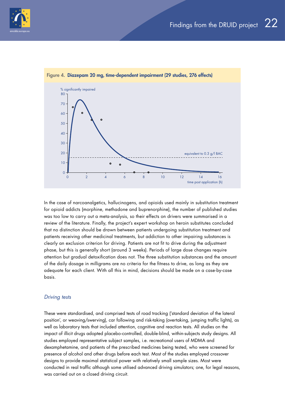



#### Figure 4. Diazepam 20 mg, time-dependent impairment (29 studies, 276 effects)

In the case of narcoanalgetics, hallucinogens, and opioids used mainly in substitution treatment for opioid addicts (morphine, methadone and buprenorphine), the number of published studies was too low to carry out a meta-analysis, so their effects on drivers were summarised in a review of the literature. Finally, the project's expert workshop on heroin substitutes concluded that no distinction should be drawn between patients undergoing substitution treatment and patients receiving other medicinal treatments, but addiction to other impairing substances is clearly an exclusion criterion for driving. Patients are not fit to drive during the adjustment phase, but this is generally short (around 3 weeks). Periods of large dose changes require attention but gradual detoxification does not. The three substitution substances and the amount of the daily dosage in milligrams are no criteria for the fitness to drive, as long as they are adequate for each client. With all this in mind, decisions should be made on a case-by-case basis.

#### *Driving tests*

These were standardised, and comprised tests of road tracking ('standard deviation of the lateral position', or weaving/swerving), car following and risk-taking (overtaking, jumping traffic lights), as well as laboratory tests that included attention, cognitive and reaction tests. All studies on the impact of illicit drugs adopted placebo-controlled, double-blind, within-subjects study designs. All studies employed representative subject samples, i.e. recreational users of MDMA and dexamphetamine, and patients of the prescribed medicines being tested, who were screened for presence of alcohol and other drugs before each test. Most of the studies employed crossover designs to provide maximal statistical power with relatively small sample sizes. Most were conducted in real traffic although some utilised advanced driving simulators; one, for legal reasons, was carried out on a closed driving circuit.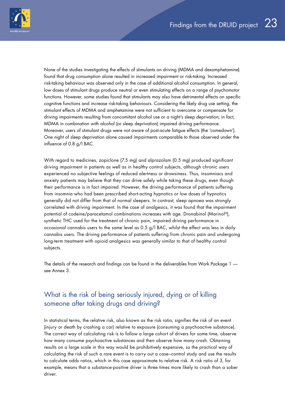<span id="page-22-0"></span>

None of the studies investigating the effects of stimulants on driving (MDMA and dexamphetamine) found that drug consumption alone resulted in increased impairment or risk-taking. Increased risk-taking behaviour was observed only in the case of additional alcohol consumption. In general, low doses of stimulant drugs produce neutral or even stimulating effects on a range of psychomotor functions. However, some studies found that stimulants may also have detrimental effects on specific cognitive functions and increase risk-taking behaviours. Considering the likely drug use setting, the stimulant effects of MDMA and amphetamine were not sufficient to overcome or compensate for driving impairments resulting from concomitant alcohol use or a night's sleep deprivation; in fact, MDMA in combination with alcohol (or sleep deprivation) impaired driving performance. Moreover, users of stimulant drugs were not aware of post-acute fatigue effects (the 'comedown'). One night of sleep deprivation alone caused impairments comparable to those observed under the influence of 0.8 g/l BAC.

With regard to medicines, zopiclone (7.5 mg) and alprazolam (0.5 mg) produced significant driving impairment in patients as well as in healthy control subjects, although chronic users experienced no subjective feelings of reduced alertness or drowsiness. Thus, insomniacs and anxiety patients may believe that they can drive safely while taking these drugs, even though their performance is in fact impaired. However, the driving performance of patients suffering from insomnia who had been prescribed short-acting hypnotics or low doses of hypnotics generally did not differ from that of normal sleepers. In contrast, sleep apnoea was strongly correlated with driving impairment. In the case of analgesics, it was found that the impairment potential of codeine/paracetamol combinations increases with age. Dronabinol (Marinol®), synthetic THC used for the treatment of chronic pain, impaired driving performance in occasional cannabis users to the same level as 0.5 g/l BAC, whilst the effect was less in daily cannabis users. The driving performance of patients suffering from chronic pain and undergoing long-term treatment with opioid analgesics was generally similar to that of healthy control subjects.

The details of the research and findings can be found in the deliverables from Work Package 1 see Annex 3.

### What is the risk of being seriously injured, dying or of killing someone after taking drugs and driving?

In statistical terms, the relative risk, also known as the risk ratio, signifies the risk of an event (injury or death by crashing a car) relative to exposure (consuming a psychoactive substance). The correct way of calculating risk is to follow a large cohort of drivers for some time, observe how many consume psychoactive substances and then observe how many crash. Obtaining results on a large scale in this way would be prohibitively expensive, so the practical way of calculating the risk of such a rare event is to carry out a case–control study and use the results to calculate odds ratios, which in this case approximate to relative risk. A risk ratio of 3, for example, means that a substance-positive driver is three times more likely to crash than a sober driver.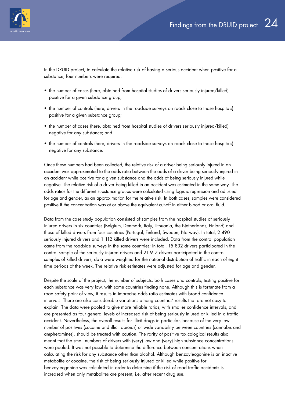

In the DRUID project, to calculate the relative risk of having a serious accident when positive for a substance, four numbers were required:

- the number of cases (here, obtained from hospital studies of drivers seriously injured/killed) positive for a given substance group;
- the number of controls (here, drivers in the roadside surveys on roads close to those hospitals) positive for a given substance group;
- the number of cases (here, obtained from hospital studies of drivers seriously injured/killed) negative for any substance; and
- the number of controls (here, drivers in the roadside surveys on roads close to those hospitals) negative for any substance.

Once these numbers had been collected, the relative risk of a driver being seriously injured in an accident was approximated to the odds ratio between the odds of a driver being seriously injured in an accident while positive for a given substance and the odds of being seriously injured while negative. The relative risk of a driver being killed in an accident was estimated in the same way. The odds ratios for the different substance groups were calculated using logistic regression and adjusted for age and gender, as an approximation for the relative risk. In both cases, samples were considered positive if the concentration was at or above the equivalent cut-off in either blood or oral fluid.

Data from the case study population consisted of samples from the hospital studies of seriously injured drivers in six countries (Belgium, Denmark, Italy, Lithuania, the Netherlands, Finland) and those of killed drivers from four countries (Portugal, Finland, Sweden, Norway). In total, 2 490 seriously injured drivers and 1 112 killed drivers were included. Data from the control population came from the roadside surveys in the same countries; in total, 15 832 drivers participated in the control sample of the seriously injured drivers and 21 917 drivers participated in the control samples of killed drivers; data were weighted for the national distribution of traffic in each of eight time periods of the week. The relative risk estimates were adjusted for age and gender.

Despite the scale of the project, the number of subjects, both cases and controls, testing positive for each substance was very low, with some countries finding none. Although this is fortunate from a road safety point of view, it results in imprecise odds ratio estimates with broad confidence intervals. There are also considerable variations among countries' results that are not easy to explain. The data were pooled to give more reliable ratios, with smaller confidence intervals, and are presented as four general levels of increased risk of being seriously injured or killed in a traffic accident. Nevertheless, the overall results for illicit drugs in particular, because of the very low number of positives (cocaine and illicit opioids) or wide variability between countries (cannabis and amphetamines), should be treated with caution. The rarity of positive toxicological results also meant that the small numbers of drivers with (very) low and (very) high substance concentrations were pooled. It was not possible to determine the difference between concentrations when calculating the risk for any substance other than alcohol. Although benzoylecgonine is an inactive metabolite of cocaine, the risk of being seriously injured or killed while positive for benzoylecgonine was calculated in order to determine if the risk of road traffic accidents is increased when only metabolites are present, i.e. after recent drug use.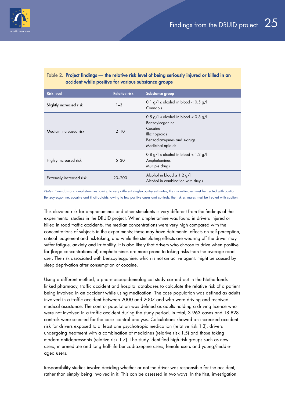### Table 2. Project findings — the relative risk level of being seriously injured or killed in an accident while positive for various substance groups

| <b>Risk level</b>        | <b>Relative risk</b> | Substance group                                                                                                                                   |
|--------------------------|----------------------|---------------------------------------------------------------------------------------------------------------------------------------------------|
| Slightly increased risk  | $1 - 3$              | 0.1 g/l $\le$ alcohol in blood $<$ 0.5 g/l<br>Cannabis                                                                                            |
| Medium increased risk    | $2 - 10$             | $0.5$ g/l $\le$ alcohol in blood $< 0.8$ g/l<br>Benzoylecgonine<br>Cocaine<br>Illicit opioids<br>Benzodiazepines and z-drugs<br>Medicinal opioids |
| Highly increased risk    | $5 - 30$             | $0.8$ g/l $\le$ alcohol in blood < 1.2 g/l<br>Amphetamines<br>Multiple drugs                                                                      |
| Extremely increased risk | 20–200               | Alcohol in blood $\geq 1.2$ g/l<br>Alcohol in combination with drugs                                                                              |

*Notes*: Cannabis and amphetamines: owing to very different single-country estimates, the risk estimates must be treated with caution. Benzoylecgonine, cocaine and illicit opioids: owing to few positive cases and controls, the risk estimates must be treated with caution.

This elevated risk for amphetamines and other stimulants is very different from the findings of the experimental studies in the DRUID project. When amphetamine was found in drivers injured or killed in road traffic accidents, the median concentrations were very high compared with the concentrations of subjects in the experiments; these may have detrimental effects on self-perception, critical judgement and risk-taking, and while the stimulating effects are wearing off the driver may suffer fatigue, anxiety and irritability. It is also likely that drivers who choose to drive when positive for (large concentrations of) amphetamines are more prone to taking risks than the average road user. The risk associated with benzoylecgonine, which is not an active agent, might be caused by sleep deprivation after consumption of cocaine.

Using a different method, a pharmacoepidemiological study carried out in the Netherlands linked pharmacy, traffic accident and hospital databases to calculate the relative risk of a patient being involved in an accident while using medication. The case population was defined as adults involved in a traffic accident between 2000 and 2007 and who were driving and received medical assistance. The control population was defined as adults holding a driving licence who were not involved in a traffic accident during the study period. In total, 3 963 cases and 18 828 controls were selected for the case–control analysis. Calculations showed an increased accident risk for drivers exposed to at least one psychotropic medication (relative risk 1.3), drivers undergoing treatment with a combination of medicines (relative risk 1.5) and those taking modern antidepressants (relative risk 1.7). The study identified high-risk groups such as new users, intermediate and long half-life benzodiazepine users, female users and young/middleaged users.

Responsibility studies involve deciding whether or not the driver was responsible for the accident, rather than simply being involved in it. This can be assessed in two ways. In the first, investigation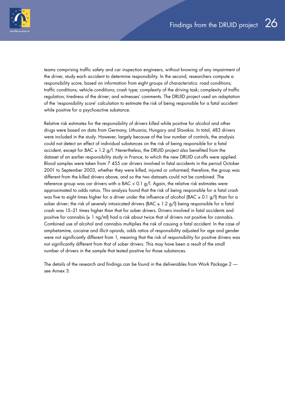

teams comprising traffic safety and car inspection engineers, without knowing of any impairment of the driver, study each accident to determine responsibility. In the second, researchers compute a responsibility score, based on information from eight groups of characteristics: road conditions; traffic conditions; vehicle conditions; crash type; complexity of the driving task; complexity of traffic regulation; tiredness of the driver; and witnesses' comments. The DRUID project used an adaptation of the 'responsibility score' calculation to estimate the risk of being responsible for a fatal accident while positive for a psychoactive substance.

Relative risk estimates for the responsibility of drivers killed while positive for alcohol and other drugs were based on data from Germany, Lithuania, Hungary and Slovakia. In total, 483 drivers were included in the study. However, largely because of the low number of controls, the analysis could not detect an effect of individual substances on the risk of being responsible for a fatal accident, except for BAC  $\geq$  1.2 g/l. Nevertheless, the DRUID project also benefited from the dataset of an earlier responsibility study in France, to which the new DRUID cut-offs were applied. Blood samples were taken from 7 455 car drivers involved in fatal accidents in the period October 2001 to September 2003, whether they were killed, injured or unharmed; therefore, the group was different from the killed drivers above, and so the two datasets could not be combined. The reference group was car drivers with a BAC < 0.1 g/l. Again, the relative risk estimates were approximated to odds ratios. This analysis found that the risk of being responsible for a fatal crash was five to eight times higher for a driver under the influence of alcohol (BAC  $\geq 0.1$  g/l) than for a sober driver; the risk of severely intoxicated drivers (BAC  $\geq$  1.2 g/l) being responsible for a fatal crash was 15–21 times higher than that for sober drivers. Drivers involved in fatal accidents and positive for cannabis ( $\geq 1$  ng/ml) had a risk about twice that of drivers not positive for cannabis. Combined use of alcohol and cannabis multiplies the risk of causing a fatal accident. In the case of amphetamine, cocaine and illicit opioids, odds ratios of responsibility adjusted for age and gender were not significantly different from 1, meaning that the risk of responsibility for positive drivers was not significantly different from that of sober drivers. This may have been a result of the small number of drivers in the sample that tested positive for those substances.

The details of the research and findings can be found in the deliverables from Work Package 2 see Annex 3.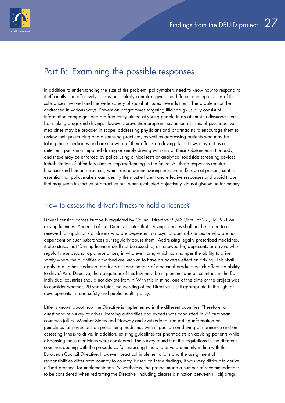<span id="page-26-0"></span>

## Part B: Examining the possible responses

In addition to understanding the size of the problem, policymakers need to know how to respond to it efficiently and effectively. This is particularly complex, given the difference in legal status of the substances involved and the wide variety of social attitudes towards them. The problem can be addressed in various ways. Prevention programmes targeting illicit drugs usually consist of information campaigns and are frequently aimed at young people in an attempt to dissuade them from taking drugs and driving. However, prevention programmes aimed at users of psychoactive medicines may be broader in scope, addressing physicians and pharmacists to encourage them to review their prescribing and dispensing practices, as well as addressing patients who may be taking those medicines and are unaware of their effects on driving skills. Laws may act as a deterrent, punishing impaired driving or simply driving with any of these substances in the body, and these may be enforced by police using clinical tests or analytical roadside screening devices. Rehabilitation of offenders aims to stop reoffending in the future. All these responses require financial and human resources, which are under increasing pressure in Europe at present, so it is essential that policymakers can identify the most efficient and effective responses and avoid those that may seem instinctive or attractive but, when evaluated objectively, do not give value for money.

### How to assess the driver's fitness to hold a licence?

Driver licensing across Europe is regulated by Council Directive 91/439/EEC of 29 July 1991 on driving licences. Annex III of that Directive states that 'Driving licences shall not be issued to or renewed for applicants or drivers who are dependent on psychotropic substances or who are not dependent on such substances but regularly abuse them'. Addressing legally prescribed medicines, it also states that 'Driving licences shall not be issued to, or renewed for, applicants or drivers who regularly use psychotropic substances, in whatever form, which can hamper the ability to drive safely where the quantities absorbed are such as to have an adverse effect on driving. This shall apply to all other medicinal products or combinations of medicinal products which affect the ability to drive.' As a Directive, the obligations of this law must be implemented in all countries in the EU; individual countries should not deviate from it. With this in mind, one of the aims of the project was to consider whether, 20 years later, the wording of the Directive is still appropriate in the light of developments in road safety and public health policy.

Little is known about how the Directive is implemented in the different countries. Therefore, a questionnaire survey of driver licensing authorities and experts was conducted in 29 European countries (all EU Member States and Norway and Switzerland) requesting information on guidelines for physicians on prescribing medicines with impact an on driving performance and on assessing fitness to drive. In addition, existing guidelines for pharmacists on advising patients while dispensing those medicines were considered. The survey found that the regulations in the different countries dealing with the procedures for assessing fitness to drive are mainly in line with the European Council Directive. However, practical implementations and the assignment of responsibilities differ from country to country. Based on these findings, it was very difficult to derive a 'best practice' for implementation. Nevertheless, the project made a number of recommendations to be considered when redrafting the Directive, including clearer distinction between (illicit) drugs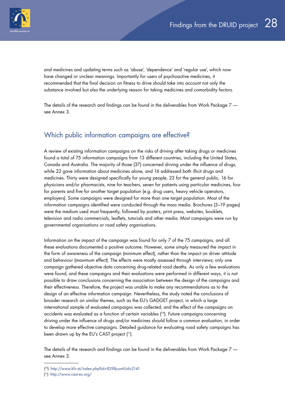<span id="page-27-0"></span>

and medicines and updating terms such as 'abuse', 'dependence' and 'regular use', which now have changed or unclear meanings. Importantly for users of psychoactive medicines, it recommended that the final decision on fitness to drive should take into account not only the substance involved but also the underlying reason for taking medicines and comorbidity factors.

The details of the research and findings can be found in the deliverables from Work Package 7 see Annex 3.

### Which public information campaigns are effective?

A review of existing information campaigns on the risks of driving after taking drugs or medicines found a total of 75 information campaigns from 13 different countries, including the United States, Canada and Australia. The majority of those (37) concerned driving under the influence of drugs, while 22 gave information about medicines alone, and 16 addressed both illicit drugs and medicines. Thirty were designed specifically for young people, 23 for the general public, 16 for physicians and/or pharmacists, nine for teachers, seven for patients using particular medicines, four for parents and five for another target population (e.g. drug users, heavy vehicle operators, employers). Some campaigns were designed for more than one target population. Most of the information campaigns identified were conducted through the mass media. Brochures (3–19 pages) were the medium used most frequently, followed by posters, print press, websites, booklets, television and radio commercials, leaflets, tutorials and other media. Most campaigns were run by governmental organisations or road safety organisations.

Information on the impact of the campaign was found for only 7 of the 75 campaigns, and all these evaluations documented a positive outcome. However, some simply measured the impact in the form of awareness of the campaign (minimum effect), rather than the impact on driver attitude and behaviour (maximum effect). The effects were mostly assessed through interviews; only one campaign gathered objective data concerning drug-related road deaths. As only a few evaluations were found, and these campaigns and their evaluations were performed in different ways, it is not possible to draw conclusions concerning the association between the design of the campaigns and their effectiveness. Therefore, the project was unable to make any recommendations as to the design of an effective information campaign. Nevertheless, the study noted the conclusions of broader research on similar themes, such as the EU's GADGET project, in which a large international sample of evaluated campaigns was collected, and the effect of the campaigns on accidents was evaluated as a function of certain variables ( 10). Future campaigns concerning driving under the influence of drugs and/or medicines should follow a common evaluation, in order to develop more effective campaigns. Detailed guidance for evaluating road safety campaigns has been drawn up by the EU's CAST project ( 11).

The details of the research and findings can be found in the deliverables from Work Package 7 see Annex 3.

<sup>(</sup> 10) http://www.kfv.at/index.php?id=829&contUid=2141

<sup>(</sup> 11) <http://www.cast-eu.org/>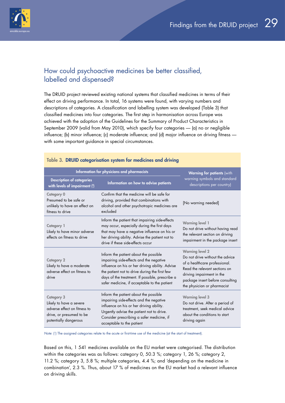<span id="page-28-0"></span>

### How could psychoactive medicines be better classified, labelled and dispensed?

The DRUID project reviewed existing national systems that classified medicines in terms of their effect on driving performance. In total, 16 systems were found, with varying numbers and descriptions of categories. A classification and labelling system was developed (Table 3) that classified medicines into four categories. The first step in harmonisation across Europe was achieved with the adoption of the Guidelines for the Summary of Product Characteristics in September 2009 (valid from May 2010), which specify four categories — (a) no or negligible influence; (b) minor influence; (c) moderate influence; and (d) major influence on driving fitness with some important guidance in special circumstances.

| Information for physicians and pharmacists                                                                                        | <b>Warning for patients (with</b>                                                                                                                                                                                                                                                       |                                                                                                                                                                                                                             |
|-----------------------------------------------------------------------------------------------------------------------------------|-----------------------------------------------------------------------------------------------------------------------------------------------------------------------------------------------------------------------------------------------------------------------------------------|-----------------------------------------------------------------------------------------------------------------------------------------------------------------------------------------------------------------------------|
| <b>Description of categories</b><br>with levels of impairment (1)                                                                 | Information on how to advise patients                                                                                                                                                                                                                                                   | warning symbols and standard<br>descriptions per country)                                                                                                                                                                   |
| <b>Category 0</b><br>Presumed to be safe or<br>unlikely to have an effect on<br>fitness to drive                                  | Confirm that the medicine will be safe for<br>driving, provided that combinations with<br>alcohol and other psychotropic medicines are<br>excluded                                                                                                                                      | [No warning needed]                                                                                                                                                                                                         |
| <b>Category 1</b><br>Likely to have minor adverse<br>effects on fitness to drive                                                  | Inform the patient that impairing side-effects<br>may occur, especially during the first days<br>that may have a negative influence on his or<br>her driving ability. Advise the patient not to<br>drive if these side-effects occur                                                    | <b>Warning level 1</b><br>Do not drive without having read<br>the relevant section on driving<br>impairment in the package insert                                                                                           |
| <b>Category 2</b><br>Likely to have a moderate<br>adverse effect on fitness to<br>drive                                           | Inform the patient about the possible<br>impairing side-effects and the negative<br>influence on his or her driving ability. Advise<br>the patient not to drive during the first few<br>days of the treatment. If possible, prescribe a<br>safer medicine, if acceptable to the patient | <b>Warning level 2</b><br>Do not drive without the advice<br>of a healthcare professional.<br>Read the relevant sections on<br>driving impairment in the<br>package insert before consulting<br>the physician or pharmacist |
| <b>Category 3</b><br>Likely to have a severe<br>adverse effect on fitness to<br>drive, or presumed to be<br>potentially dangerous | Inform the patient about the possible<br>impairing side-effects and the negative<br>influence on his or her driving ability.<br>Urgently advise the patient not to drive.<br>Consider prescribing a safer medicine, if<br>acceptable to the patient                                     | <b>Warning level 3</b><br>Do not drive. After a period of<br>treatment, seek medical advice<br>about the conditions to start<br>driving again                                                                               |

#### Table 3. DRUID categorisation system for medicines and driving

*Note*: (1) The assigned categories relate to the acute or first-time use of the medicine (at the start of treatment).

Based on this, 1 541 medicines available on the EU market were categorised. The distribution within the categories was as follows: category 0, 50.3 %; category 1, 26 %; category 2, 11.2 %; category 3, 5.8 %; multiple categories, 4.4 %; and 'depending on the medicine in combination', 2.3 %. Thus, about 17 % of medicines on the EU market had a relevant influence on driving skills.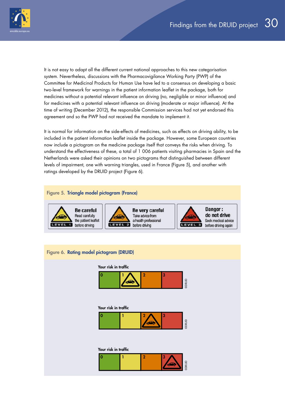

It is not easy to adapt all the different current national approaches to this new categorisation system. Nevertheless, discussions with the Pharmacovigilance Working Party (PWP) of the Committee for Medicinal Products for Human Use have led to a consensus on developing a basic two-level framework for warnings in the patient information leaflet in the package, both for medicines without a potential relevant influence on driving (no, negligible or minor influence) and for medicines with a potential relevant influence on driving (moderate or major influence). At the time of writing (December 2012), the responsible Commission services had not yet endorsed this agreement and so the PWP had not received the mandate to implement it.

It is normal for information on the side-effects of medicines, such as effects on driving ability, to be included in the patient information leaflet inside the package. However, some European countries now include a pictogram on the medicine package itself that conveys the risks when driving. To understand the effectiveness of these, a total of 1 006 patients visiting pharmacies in Spain and the Netherlands were asked their opinions on two pictograms that distinguished between different levels of impairment, one with warning triangles, used in France (Figure 5), and another with ratings developed by the DRUID project (Figure 6).



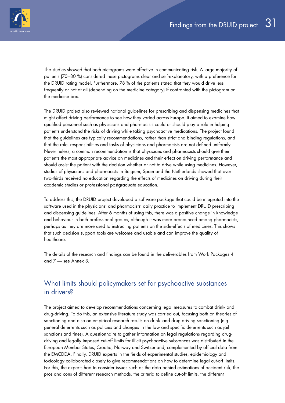<span id="page-30-0"></span>

The studies showed that both pictograms were effective in communicating risk. A large majority of patients (70–80 %) considered these pictograms clear and self-explanatory, with a preference for the DRUID rating model. Furthermore, 78 % of the patients stated that they would drive less frequently or not at all (depending on the medicine category) if confronted with the pictogram on the medicine box.

The DRUID project also reviewed national guidelines for prescribing and dispensing medicines that might affect driving performance to see how they varied across Europe. It aimed to examine how qualified personnel such as physicians and pharmacists could or should play a role in helping patients understand the risks of driving while taking psychoactive medications. The project found that the guidelines are typically recommendations, rather than strict and binding regulations, and that the role, responsibilities and tasks of physicians and pharmacists are not defined uniformly. Nevertheless, a common recommendation is that physicians and pharmacists should give their patients the most appropriate advice on medicines and their effect on driving performance and should assist the patient with the decision whether or not to drive while using medicines. However, studies of physicians and pharmacists in Belgium, Spain and the Netherlands showed that over two-thirds received no education regarding the effects of medicines on driving during their academic studies or professional postgraduate education.

To address this, the DRUID project developed a software package that could be integrated into the software used in the physicians' and pharmacists' daily practice to implement DRUID prescribing and dispensing guidelines. After 6 months of using this, there was a positive change in knowledge and behaviour in both professional groups, although it was more pronounced among pharmacists, perhaps as they are more used to instructing patients on the side-effects of medicines. This shows that such decision support tools are welcome and usable and can improve the quality of healthcare.

The details of the research and findings can be found in the deliverables from Work Packages 4 and 7 — see Annex 3.

### What limits should policymakers set for psychoactive substances in drivers?

The project aimed to develop recommendations concerning legal measures to combat drink- and drug-driving. To do this, an extensive literature study was carried out, focusing both on theories of sanctioning and also on empirical research results on drink- and drug-driving sanctioning (e.g. general deterrents such as policies and changes in the law and specific deterrents such as jail sanctions and fines). A questionnaire to gather information on legal regulations regarding drugdriving and legally imposed cut-off limits for illicit psychoactive substances was distributed in the European Member States, Croatia, Norway and Switzerland, complemented by official data from the EMCDDA. Finally, DRUID experts in the fields of experimental studies, epidemiology and toxicology collaborated closely to give recommendations on how to determine legal cut-off limits. For this, the experts had to consider issues such as the data behind estimations of accident risk, the pros and cons of different research methods, the criteria to define cut-off limits, the different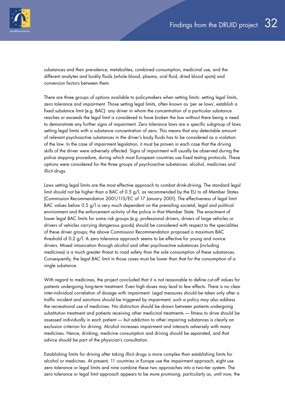substances and their prevalence, metabolites, combined consumption, medicinal use, and the different analytes and bodily fluids (whole blood, plasma, oral fluid, dried blood spots) and conversion factors between them.

There are three groups of options available to policymakers when setting limits: setting legal limits, zero tolerance and impairment. Those setting legal limits, often known as 'per se laws', establish a fixed substance limit (e.g. BAC): any driver in whom the concentration of a particular substance reaches or exceeds the legal limit is considered to have broken the law without there being a need to demonstrate any further signs of impairment. Zero tolerance laws are a specific subgroup of laws setting legal limits with a substance concentration of zero. This means that any detectable amount of relevant psychoactive substances in the driver's body fluids has to be considered as a violation of the law. In the case of impairment legislation, it must be proven in each case that the driving skills of the driver were adversely affected. Signs of impairment will usually be observed during the police stopping procedure, during which most European countries use fixed testing protocols. These options were considered for the three groups of psychoactive substances: alcohol, medicines and illicit drugs.

Laws setting legal limits are the most effective approach to combat drink-driving. The standard legal limit should not be higher than a BAC of 0.5 g/l, as recommended by the EU to all Member States (Commission Recommendation 2001/115/EC of 17 January 2001). The effectiveness of legal limit BAC values below 0.5 g/l is very much dependent on the prevailing societal, legal and political environment and the enforcement activity of the police in that Member State. The enactment of lower legal BAC limits for some risk groups (e.g. professional drivers, drivers of large vehicles or drivers of vehicles carrying dangerous goods) should be considered with respect to the specialities of these driver groups; the above Commission Recommendation proposed a maximum BAC threshold of 0.2 g/l. A zero tolerance approach seems to be effective for young and novice drivers. Mixed intoxication through alcohol and other psychoactive substances (including medicines) is a much greater threat to road safety than the sole consumption of these substances. Consequently, the legal BAC limit in those cases must be lower than that for the consumption of a single substance.

With regard to medicines, the project concluded that it is not reasonable to define cut-off values for patients undergoing long-term treatment. Even high doses may lead to few effects. There is no clear inter-individual correlation of dosage with impairment. Legal measures should be taken only after a traffic incident and sanctions should be triggered by impairment; such a policy may also address the recreational use of medicines. No distinction should be drawn between patients undergoing substitution treatment and patients receiving other medicinal treatments — fitness to drive should be assessed individually in each patient — but addiction to other impairing substances is clearly an exclusion criterion for driving. Alcohol increases impairment and interacts adversely with many medicines. Hence, drinking, medicine consumption and driving should be separated, and that advice should be part of the physician's consultation.

Establishing limits for driving after taking illicit drugs is more complex than establishing limits for alcohol or medicines. At present, 11 countries in Europe use the impairment approach, eight use zero tolerance or legal limits and nine combine these two approaches into a two-tier system. The zero tolerance or legal limit approach appears to be more promising, particularly as, until now, the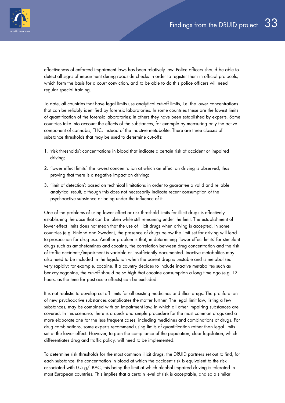

effectiveness of enforced impairment laws has been relatively low. Police officers should be able to detect all signs of impairment during roadside checks in order to register them in official protocols, which form the basis for a court conviction, and to be able to do this police officers will need regular special training.

To date, all countries that have legal limits use analytical cut-off limits, i.e. the lower concentrations that can be reliably identified by forensic laboratories. In some countries these are the lowest limits of quantification of the forensic laboratories; in others they have been established by experts. Some countries take into account the effects of the substances, for example by measuring only the active component of cannabis, THC, instead of the inactive metabolite. There are three classes of substance thresholds that may be used to determine cut-offs:

- 1. 'risk thresholds': concentrations in blood that indicate a certain risk of accident or impaired driving;
- 2. 'lower effect limits': the lowest concentration at which an effect on driving is observed, thus proving that there is a negative impact on driving;
- 3. 'limit of detection': based on technical limitations in order to guarantee a valid and reliable analytical result, although this does not necessarily indicate recent consumption of the psychoactive substance or being under the influence of it.

One of the problems of using lower effect or risk threshold limits for illicit drugs is effectively establishing the dose that can be taken while still remaining under the limit. The establishment of lower effect limits does not mean that the use of illicit drugs when driving is accepted. In some countries (e.g. Finland and Sweden), the presence of drugs below the limit set for driving will lead to prosecution for drug use. Another problem is that, in determining 'lower effect limits' for stimulant drugs such as amphetamines and cocaine, the correlation between drug concentration and the risk of traffic accidents/impairment is variable or insufficiently documented. Inactive metabolites may also need to be included in the legislation when the parent drug is unstable and is metabolised very rapidly; for example, cocaine. If a country decides to include inactive metabolites such as benzoylecgonine, the cut-off should be so high that cocaine consumption a long time ago (e.g. 12 hours, as the time for post-acute effects) can be excluded.

It is not realistic to develop cut-off limits for all existing medicines and illicit drugs. The proliferation of new psychoactive substances complicates the matter further. The legal limit law, listing a few substances, may be combined with an impairment law, in which all other impairing substances are covered. In this scenario, there is a quick and simple procedure for the most common drugs and a more elaborate one for the less frequent cases, including medicines and combinations of drugs. For drug combinations, some experts recommend using limits of quantification rather than legal limits set at the lower effect. However, to gain the compliance of the population, clear legislation, which differentiates drug and traffic policy, will need to be implemented.

To determine risk thresholds for the most common illicit drugs, the DRUID partners set out to find, for each substance, the concentration in blood at which the accident risk is equivalent to the risk associated with 0.5 g/l BAC, this being the limit at which alcohol-impaired driving is tolerated in most European countries. This implies that a certain level of risk is acceptable, and so a similar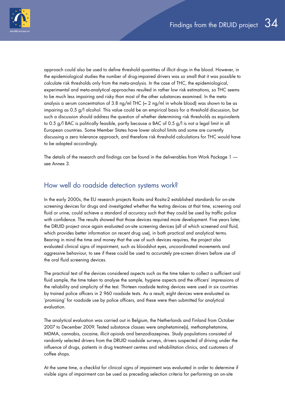<span id="page-33-0"></span>

approach could also be used to define threshold quantities of illicit drugs in the blood. However, in the epidemiological studies the number of drug-impaired drivers was so small that it was possible to calculate risk thresholds only from the meta-analysis. In the case of THC, the epidemiological, experimental and meta-analytical approaches resulted in rather low risk estimations, so THC seems to be much less impairing and risky than most of the other substances examined. In the metaanalysis a serum concentration of 3.8 na/ml THC  $\approx$  2 na/ml in whole blood) was shown to be as impairing as 0.5 g/l alcohol. This value could be an empirical basis for a threshold discussion, but such a discussion should address the question of whether determining risk thresholds as equivalents to 0.5 g/l BAC is politically feasible, partly because a BAC of 0.5 g/l is not a legal limit in all European countries. Some Member States have lower alcohol limits and some are currently discussing a zero tolerance approach, and therefore risk threshold calculations for THC would have to be adapted accordingly.

The details of the research and findings can be found in the deliverables from Work Package 1 see Annex 3.

### How well do roadside detection systems work?

In the early 2000s, the EU research projects Rosita and Rosita-2 established standards for on-site screening devices for drugs and investigated whether the testing devices at that time, screening oral fluid or urine, could achieve a standard of accuracy such that they could be used by traffic police with confidence. The results showed that those devices required more development. Five years later, the DRUID project once again evaluated on-site screening devices (all of which screened oral fluid, which provides better information on recent drug use), in both practical and analytical terms. Bearing in mind the time and money that the use of such devices requires, the project also evaluated clinical signs of impairment, such as bloodshot eyes, uncoordinated movements and aggressive behaviour, to see if these could be used to accurately pre-screen drivers before use of the oral fluid screening devices.

The practical test of the devices considered aspects such as the time taken to collect a sufficient oral fluid sample, the time taken to analyse the sample, hygiene aspects and the officers' impressions of the reliability and simplicity of the test. Thirteen roadside testing devices were used in six countries by trained police officers in 2 960 roadside tests. As a result, eight devices were evaluated as 'promising' for roadside use by police officers, and these were then submitted for analytical evaluation.

The analytical evaluation was carried out in Belgium, the Netherlands and Finland from October 2007 to December 2009. Tested substance classes were amphetamine(s), methamphetamine, MDMA, cannabis, cocaine, illicit opioids and benzodiazepines. Study populations consisted of randomly selected drivers from the DRUID roadside surveys, drivers suspected of driving under the influence of drugs, patients in drug treatment centres and rehabilitation clinics, and customers of coffee shops.

At the same time, a checklist for clinical signs of impairment was evaluated in order to determine if visible signs of impairment can be used as preceding selection criteria for performing an on-site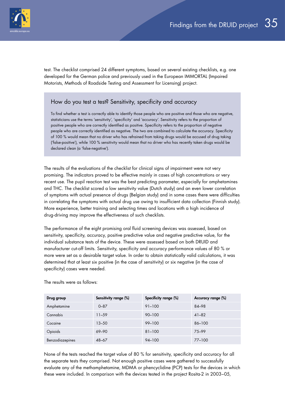

test. The checklist comprised 24 different symptoms, based on several existing checklists, e.g. one developed for the German police and previously used in the European IMMORTAL (Impaired Motorists, Methods of Roadside Testing and Assessment for Licensing) project.

### How do you test a test? Sensitivity, specificity and accuracy

To find whether a test is correctly able to identify those people who are positive and those who are negative, statisticians use the terms 'sensitivity', 'specificity' and 'accuracy'. Sensitivity refers to the proportion of positive people who are correctly identified as positive. Specificity refers to the proportion of negative people who are correctly identified as negative. The two are combined to calculate the accuracy. Specificity of 100 % would mean that no driver who has refrained from taking drugs would be accused of drug taking ('false-positive'), while 100 % sensitivity would mean that no driver who has recently taken drugs would be declared clean (a 'false-negative').

The results of the evaluations of the checklist for clinical signs of impairment were not very promising. The indicators proved to be effective mainly in cases of high concentrations or very recent use. The pupil reaction test was the best predicting parameter, especially for amphetamines and THC. The checklist scored a low sensitivity value (Dutch study) and an even lower correlation of symptoms with actual presence of drugs (Belgian study) and in some cases there were difficulties in correlating the symptoms with actual drug use owing to insufficient data collection (Finnish study). More experience, better training and selecting times and locations with a high incidence of drug-driving may improve the effectiveness of such checklists.

The performance of the eight promising oral fluid screening devices was assessed, based on sensitivity, specificity, accuracy, positive predictive value and negative predictive value, for the individual substance tests of the device. These were assessed based on both DRUID and manufacturer cut-off limits. Sensitivity, specificity and accuracy performance values of 80 % or more were set as a desirable target value. In order to obtain statistically valid calculations, it was determined that at least six positive (in the case of sensitivity) or six negative (in the case of specificity) cases were needed.

| Drug group      | Sensitivity range (%) | Specificity range (%) | Accuracy range (%) |
|-----------------|-----------------------|-----------------------|--------------------|
| Amphetamine     | $0 - 87$              | $91 - 100$            | 84-98              |
| Cannabis        | $11 - 59$             | $90 - 100$            | $41 - 82$          |
| Cocaine         | $13 - 50$             | 99-100                | 86-100             |
| Opioids         | 69-90                 | $81 - 100$            | 75-99              |
| Benzodiazepines | $48 - 67$             | $94 - 100$            | $77 - 100$         |

The results were as follows:

None of the tests reached the target value of 80 % for sensitivity, specificity and accuracy for all the separate tests they comprised. Not enough positive cases were gathered to successfully evaluate any of the methamphetamine, MDMA or phencyclidine (PCP) tests for the devices in which these were included. In comparison with the devices tested in the project Rosita-2 in 2003–05,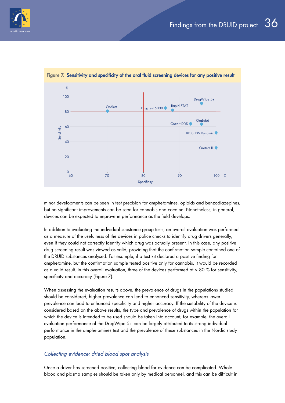



Figure 7. Sensitivity and specificity of the oral fluid screening devices for any positive result

minor developments can be seen in test precision for amphetamines, opioids and benzodiazepines, but no significant improvements can be seen for cannabis and cocaine. Nonetheless, in general, devices can be expected to improve in performance as the field develops.

In addition to evaluating the individual substance group tests, an overall evaluation was performed as a measure of the usefulness of the devices in police checks to identify drug drivers generally, even if they could not correctly identify which drug was actually present. In this case, any positive drug screening result was viewed as valid, providing that the confirmation sample contained one of the DRUID substances analysed. For example, if a test kit declared a positive finding for amphetamine, but the confirmation sample tested positive only for cannabis, it would be recorded as a valid result. In this overall evaluation, three of the devices performed at > 80 % for sensitivity, specificity and accuracy (Figure 7).

When assessing the evaluation results above, the prevalence of drugs in the populations studied should be considered; higher prevalence can lead to enhanced sensitivity, whereas lower prevalence can lead to enhanced specificity and higher accuracy. If the suitability of the device is considered based on the above results, the type and prevalence of drugs within the population for which the device is intended to be used should be taken into account; for example, the overall evaluation performance of the DrugWipe 5+ can be largely attributed to its strong individual performance in the amphetamines test and the prevalence of these substances in the Nordic study population.

### *Collecting evidence: dried blood spot analysis*

Once a driver has screened positive, collecting blood for evidence can be complicated. Whole blood and plasma samples should be taken only by medical personnel, and this can be difficult in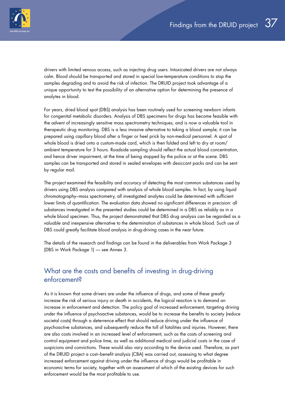<span id="page-36-0"></span>

drivers with limited venous access, such as injecting drug users. Intoxicated drivers are not always calm. Blood should be transported and stored in special low-temperature conditions to stop the samples degrading and to avoid the risk of infection. The DRUID project took advantage of a unique opportunity to test the possibility of an alternative option for determining the presence of analytes in blood.

For years, dried blood spot (DBS) analysis has been routinely used for screening newborn infants for congenital metabolic disorders. Analysis of DBS specimens for drugs has become feasible with the advent of increasingly sensitive mass spectrometry techniques, and is now a valuable tool in therapeutic drug monitoring. DBS is a less invasive alternative to taking a blood sample; it can be prepared using capillary blood after a finger or heel prick by non-medical personnel. A spot of whole blood is dried onto a custom-made card, which is then folded and left to dry at room/ ambient temperature for 3 hours. Roadside sampling should reflect the actual blood concentration, and hence driver impairment, at the time of being stopped by the police or at the scene. DBS samples can be transported and stored in sealed envelopes with desiccant packs and can be sent by regular mail.

The project examined the feasibility and accuracy of detecting the most common substances used by drivers using DBS analysis compared with analysis of whole blood samples. In fact, by using liquid chromatography–mass spectrometry, all investigated analytes could be determined with sufficient lower limits of quantification. The evaluation data showed no significant differences in precision: all substances investigated in the presented studies could be determined in a DBS as reliably as in a whole blood specimen. Thus, the project demonstrated that DBS drug analysis can be regarded as a valuable and inexpensive alternative to the determination of substances in whole blood. Such use of DBS could greatly facilitate blood analysis in drug-driving cases in the near future.

The details of the research and findings can be found in the deliverables from Work Package 3 (DBS in Work Package 1) — see Annex 3.

### What are the costs and benefits of investing in drug-driving enforcement?

As it is known that some drivers are under the influence of drugs, and some of these greatly increase the risk of serious injury or death in accidents, the logical reaction is to demand an increase in enforcement and detection. The policy goal of increased enforcement, targeting driving under the influence of psychoactive substances, would be to increase the benefits to society (reduce societal costs) through a deterrence effect that should reduce driving under the influence of psychoactive substances, and subsequently reduce the toll of fatalities and injuries. However, there are also costs involved in an increased level of enforcement, such as the costs of screening and control equipment and police time, as well as additional medical and judicial costs in the case of suspicions and convictions. These would also vary according to the device used. Therefore, as part of the DRUID project a cost–benefit analysis (CBA) was carried out, assessing to what degree increased enforcement against driving under the influence of drugs would be profitable in economic terms for society, together with an assessment of which of the existing devices for such enforcement would be the most profitable to use.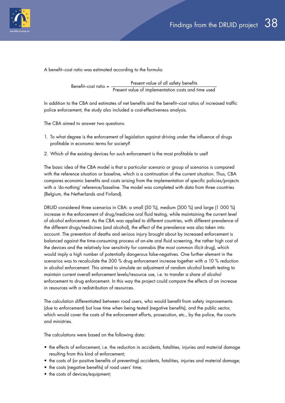

A benefit–cost ratio was estimated according to the formula:

Benefit–cost ratio = Present value of all safety benefits Present value of implementation costs and time used

In addition to the CBA and estimates of net benefits and the benefit–cost ratios of increased traffic police enforcement, the study also included a cost-effectiveness analysis.

The CBA aimed to answer two questions:

- 1. To what degree is the enforcement of legislation against driving under the influence of drugs profitable in economic terms for society?
- 2. Which of the existing devices for such enforcement is the most profitable to use?

The basic idea of the CBA model is that a particular scenario or group of scenarios is compared with the reference situation or baseline, which is a continuation of the current situation. Thus, CBA compares economic benefits and costs arising from the implementation of specific policies/projects with a 'do-nothing' reference/baseline. The model was completed with data from three countries (Belgium, the Netherlands and Finland).

DRUID considered three scenarios in CBA: a small (50 %), medium (300 %) and large (1 000 %) increase in the enforcement of drug/medicine oral fluid testing, while maintaining the current level of alcohol enforcement. As the CBA was applied to different countries, with different prevalence of the different drugs/medicines (and alcohol), the effect of the prevalence was also taken into account. The prevention of deaths and serious injury brought about by increased enforcement is balanced against the time-consuming process of on-site oral fluid screening, the rather high cost of the devices and the relatively low sensitivity for cannabis (the most common illicit drug), which would imply a high number of potentially dangerous false-negatives. One further element in the scenarios was to recalculate the 300 % drug enforcement increase together with a 10 % reduction in alcohol enforcement. This aimed to simulate an adjustment of random alcohol breath testing to maintain current overall enforcement levels/resource use, i.e. to transfer a share of alcohol enforcement to drug enforcement. In this way the project could compare the effects of an increase in resources with a redistribution of resources.

The calculation differentiated between road users, who would benefit from safety improvements (due to enforcement) but lose time when being tested (negative benefits), and the public sector, which would cover the costs of the enforcement efforts, prosecution, etc., by the police, the courts and ministries.

The calculations were based on the following data:

- the effects of enforcement, i.e. the reduction in accidents, fatalities, injuries and material damage resulting from this kind of enforcement;
- the costs of (or positive benefits of preventing) accidents, fatalities, injuries and material damage;
- the costs (negative benefits) of road users' time;
- the costs of devices/equipment;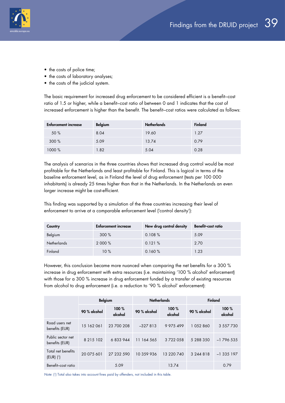

- the costs of police time;
- the costs of laboratory analyses;
- the costs of the judicial system.

The basic requirement for increased drug enforcement to be considered efficient is a benefit–cost ratio of 1.5 or higher, while a benefit–cost ratio of between 0 and 1 indicates that the cost of increased enforcement is higher than the benefit. The benefit–cost ratios were calculated as follows:

| <b>Enforcement increase</b> | <b>Belgium</b> | <b>Netherlands</b> | <b>Finland</b> |
|-----------------------------|----------------|--------------------|----------------|
| 50 %                        | 8.04           | 19.60              | 1.27           |
| 300%                        | 5.09           | 13.74              | 0.79           |
| 1000%                       | 1.82           | 5.04               | 0.28           |

The analysis of scenarios in the three countries shows that increased drug control would be most profitable for the Netherlands and least profitable for Finland. This is logical in terms of the baseline enforcement level, as in Finland the level of drug enforcement (tests per 100 000 inhabitants) is already 25 times higher than that in the Netherlands. In the Netherlands an even larger increase might be cost-efficient.

This finding was supported by a simulation of the three countries increasing their level of enforcement to arrive at a comparable enforcement level ('control density'):

| Country            | <b>Enforcement increase</b> | New drug control density | <b>Benefit-cost ratio</b> |
|--------------------|-----------------------------|--------------------------|---------------------------|
| Belgium            | 300%                        | 0.108%                   | 5.09                      |
| <b>Netherlands</b> | 2 000 %                     | 0.121%                   | 2.70                      |
| Finland            | $10\%$                      | 0.160%                   | 1.23                      |

However, this conclusion became more nuanced when comparing the net benefits for a 300 % increase in drug enforcement with extra resources (i.e. maintaining '100 % alcohol' enforcement) with those for a 300 % increase in drug enforcement funded by a transfer of existing resources from alcohol to drug enforcement (i.e. a reduction to '90 % alcohol' enforcement):

| <b>Belgium</b>                                     |               |                 | <b>Netherlands</b> |                 | Finland      |                 |
|----------------------------------------------------|---------------|-----------------|--------------------|-----------------|--------------|-----------------|
|                                                    | 90 % alcohol  | 100%<br>alcohol | 90 % alcohol       | 100%<br>alcohol | 90 % alcohol | 100%<br>alcohol |
| Road users net<br>benefits (EUR)                   | 15 162 061    | 23 700 208      | $-327813$          | 9 975 499       | 1052860      | 3 557 730       |
| Public sector net<br>benefits (EUR)                | 8 2 1 5 1 0 2 | 6833944         | 164 565<br>-11     | 3722058         | 5 288 350    | $-1$ 796 535    |
| Total net benefits<br>$(EUR)$ $($ <sup>1</sup> $)$ | 20 075 601    | 27 232 590      | 10 359 936         | 13 220 740      | 3 244 8 18   | $-1335197$      |
| Benefit-cost ratio                                 |               | 5.09            |                    | 13.74           |              | 0.79            |

*Note*: (1) Total also takes into account fines paid by offenders, not included in this table.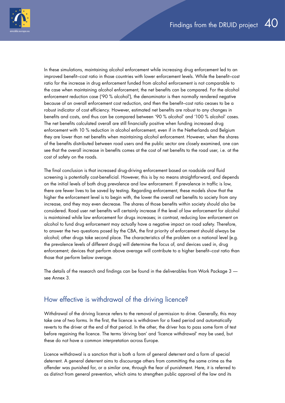<span id="page-39-0"></span>

In these simulations, maintaining alcohol enforcement while increasing drug enforcement led to an improved benefit–cost ratio in those countries with lower enforcement levels. While the benefit–cost ratio for the increase in drug enforcement funded from alcohol enforcement is not comparable to the case when maintaining alcohol enforcement, the net benefits can be compared. For the alcohol enforcement reduction case ('90 % alcohol'), the denominator is then normally rendered negative because of an overall enforcement cost reduction, and then the benefit–cost ratio ceases to be a robust indicator of cost efficiency. However, estimated net benefits are robust to any changes in benefits and costs, and thus can be compared between '90 % alcohol' and '100 % alcohol' cases. The net benefits calculated overall are still financially positive when funding increased drug enforcement with 10 % reduction in alcohol enforcement, even if in the Netherlands and Belgium they are lower than net benefits when maintaining alcohol enforcement. However, when the shares of the benefits distributed between road users and the public sector are closely examined, one can see that the overall increase in benefits comes at the cost of net benefits to the road user, i.e. at the cost of safety on the roads.

The final conclusion is that increased drug-driving enforcement based on roadside oral fluid screening is potentially cost-beneficial. However, this is by no means straightforward, and depends on the initial levels of both drug prevalence and law enforcement. If prevalence in traffic is low, there are fewer lives to be saved by testing. Regarding enforcement, these models show that the higher the enforcement level is to begin with, the lower the overall net benefits to society from any increase, and they may even decrease. The shares of those benefits within society should also be considered. Road user net benefits will certainly increase if the level of law enforcement for alcohol is maintained while law enforcement for drugs increases; in contrast, reducing law enforcement on alcohol to fund drug enforcement may actually have a negative impact on road safety. Therefore, to answer the two questions posed by the CBA, the first priority of enforcement should always be alcohol; other drugs take second place. The characteristics of the problem on a national level (e.g. the prevalence levels of different drugs) will determine the focus of, and devices used in, drug enforcement; devices that perform above average will contribute to a higher benefit–cost ratio than those that perform below average.

The details of the research and findings can be found in the deliverables from Work Package 3 see Annex 3.

### How effective is withdrawal of the driving licence?

Withdrawal of the driving licence refers to the removal of permission to drive. Generally, this may take one of two forms. In the first, the licence is withdrawn for a fixed period and automatically reverts to the driver at the end of that period. In the other, the driver has to pass some form of test before regaining the licence. The terms 'driving ban' and 'licence withdrawal' may be used, but these do not have a common interpretation across Europe.

Licence withdrawal is a sanction that is both a form of general deterrent and a form of special deterrent. A general deterrent aims to discourage others from committing the same crime as the offender was punished for, or a similar one, through the fear of punishment. Here, it is referred to as distinct from general prevention, which aims to strengthen public approval of the law and its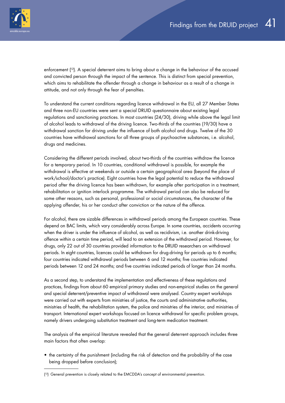

enforcement ( 12). A special deterrent aims to bring about a change in the behaviour of the accused and convicted person through the impact of the sentence. This is distinct from special prevention, which aims to rehabilitate the offender through a change in behaviour as a result of a change in attitude, and not only through the fear of penalties.

To understand the current conditions regarding licence withdrawal in the EU, all 27 Member States and three non-EU countries were sent a special DRUID questionnaire about existing legal regulations and sanctioning practices. In most countries (24/30), driving while above the legal limit of alcohol leads to withdrawal of the driving licence. Two-thirds of the countries (19/30) have a withdrawal sanction for driving under the influence of both alcohol and drugs. Twelve of the 30 countries have withdrawal sanctions for all three groups of psychoactive substances, i.e. alcohol, drugs and medicines.

Considering the different periods involved, about two-thirds of the countries withdraw the licence for a temporary period. In 10 countries, conditional withdrawal is possible, for example the withdrawal is effective at weekends or outside a certain geographical area (beyond the place of work/school/doctor's practice). Eight countries have the legal potential to reduce the withdrawal period after the driving licence has been withdrawn, for example after participation in a treatment, rehabilitation or ignition interlock programme. The withdrawal period can also be reduced for some other reasons, such as personal, professional or social circumstances, the character of the applying offender, his or her conduct after conviction or the nature of the offence.

For alcohol, there are sizable differences in withdrawal periods among the European countries. These depend on BAC limits, which vary considerably across Europe. In some countries, accidents occurring when the driver is under the influence of alcohol, as well as recidivism, i.e. another drink-driving offence within a certain time period, will lead to an extension of the withdrawal period. However, for drugs, only 22 out of 30 countries provided information to the DRUID researchers on withdrawal periods. In eight countries, licences could be withdrawn for drug-driving for periods up to 6 months; four countries indicated withdrawal periods between 6 and 12 months; five countries indicated periods between 12 and 24 months; and five countries indicated periods of longer than 24 months.

As a second step, to understand the implementation and effectiveness of these regulations and practices, findings from about 60 empirical primary studies and non-empirical studies on the general and special deterrent/preventive impact of withdrawal were analysed. Country expert workshops were carried out with experts from ministries of justice, the courts and administrative authorities, ministries of health, the rehabilitation system, the police and ministries of the interior, and ministries of transport. International expert workshops focused on licence withdrawal for specific problem groups, namely drivers undergoing substitution treatment and long-term medication treatment.

The analysis of the empirical literature revealed that the general deterrent approach includes three main factors that often overlap:

• the certainty of the punishment (including the risk of detection and the probability of the case being dropped before conclusion);

<sup>(&</sup>lt;sup>12</sup>) General prevention is closely related to the EMCDDA's concept of environmental prevention.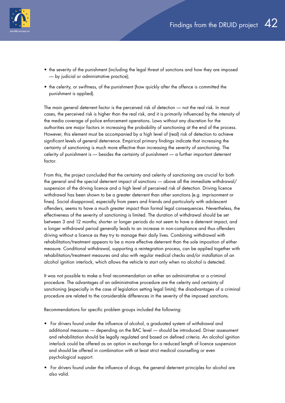

- the severity of the punishment (including the legal threat of sanctions and how they are imposed — by judicial or administrative practice);
- the celerity, or swiftness, of the punishment (how quickly after the offence is committed the punishment is applied).

The main general deterrent factor is the perceived risk of detection — not the real risk. In most cases, the perceived risk is higher than the real risk, and it is primarily influenced by the intensity of the media coverage of police enforcement operations. Laws without any discretion for the authorities are major factors in increasing the probability of sanctioning at the end of the process. However, this element must be accompanied by a high level of (real) risk of detection to achieve significant levels of general deterrence. Empirical primary findings indicate that increasing the certainty of sanctioning is much more effective than increasing the severity of sanctioning. The celerity of punishment is — besides the certainty of punishment — a further important deterrent factor.

From this, the project concluded that the certainty and celerity of sanctioning are crucial for both the general and the special deterrent impact of sanctions — above all the immediate withdrawal/ suspension of the driving licence and a high level of perceived risk of detection. Driving licence withdrawal has been shown to be a greater deterrent than other sanctions (e.g. imprisonment or fines). Social disapproval, especially from peers and friends and particularly with adolescent offenders, seems to have a much greater impact than formal legal consequences. Nevertheless, the effectiveness of the severity of sanctioning is limited. The duration of withdrawal should be set between 3 and 12 months; shorter or longer periods do not seem to have a deterrent impact, and a longer withdrawal period generally leads to an increase in non-compliance and thus offenders driving without a licence as they try to manage their daily lives. Combining withdrawal with rehabilitation/treatment appears to be a more effective deterrent than the sole imposition of either measure. Conditional withdrawal, supporting a reintegration process, can be applied together with rehabilitation/treatment measures and also with regular medical checks and/or installation of an alcohol ignition interlock, which allows the vehicle to start only when no alcohol is detected.

It was not possible to make a final recommendation on either an administrative or a criminal procedure. The advantages of an administrative procedure are the celerity and certainty of sanctioning (especially in the case of legislation setting legal limits); the disadvantages of a criminal procedure are related to the considerable differences in the severity of the imposed sanctions.

Recommendations for specific problem groups included the following:

- For drivers found under the influence of alcohol, a graduated system of withdrawal and additional measures — depending on the BAC level — should be introduced. Driver assessment and rehabilitation should be legally regulated and based on defined criteria. An alcohol ignition interlock could be offered as an option in exchange for a reduced length of licence suspension and should be offered in combination with at least strict medical counselling or even psychological support.
- For drivers found under the influence of drugs, the general deterrent principles for alcohol are also valid.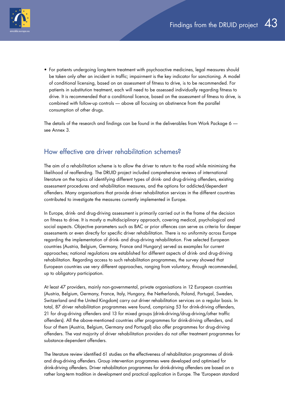<span id="page-42-0"></span>

• For patients undergoing long-term treatment with psychoactive medicines, legal measures should be taken only after an incident in traffic; impairment is the key indicator for sanctioning. A model of conditional licensing, based on an assessment of fitness to drive, is to be recommended. For patients in substitution treatment, each will need to be assessed individually regarding fitness to drive. It is recommended that a conditional licence, based on the assessment of fitness to drive, is combined with follow-up controls — above all focusing on abstinence from the parallel consumption of other drugs.

The details of the research and findings can be found in the deliverables from Work Package 6 see Annex 3.

### How effective are driver rehabilitation schemes?

The aim of a rehabilitation scheme is to allow the driver to return to the road while minimising the likelihood of reoffending. The DRUID project included comprehensive reviews of international literature on the topics of identifying different types of drink- and drug-driving offenders, existing assessment procedures and rehabilitation measures, and the options for addicted/dependent offenders. Many organisations that provide driver rehabilitation services in the different countries contributed to investigate the measures currently implemented in Europe.

In Europe, drink- and drug-driving assessment is primarily carried out in the frame of the decision on fitness to drive. It is mostly a multidisciplinary approach, covering medical, psychological and social aspects. Objective parameters such as BAC or prior offences can serve as criteria for deeper assessments or even directly for specific driver rehabilitation. There is no uniformity across Europe regarding the implementation of drink- and drug-driving rehabilitation. Five selected European countries (Austria, Belgium, Germany, France and Hungary) served as examples for current approaches; national regulations are established for different aspects of drink- and drug-driving rehabilitation. Regarding access to such rehabilitation programmes, the survey showed that European countries use very different approaches, ranging from voluntary, through recommended, up to obligatory participation.

At least 47 providers, mainly non-governmental, private organisations in 12 European countries (Austria, Belgium, Germany, France, Italy, Hungary, the Netherlands, Poland, Portugal, Sweden, Switzerland and the United Kingdom) carry out driver rehabilitation services on a regular basis. In total, 87 driver rehabilitation programmes were found, comprising 53 for drink-driving offenders, 21 for drug-driving offenders and 13 for mixed groups (drink-driving/drug-driving/other traffic offenders). All the above-mentioned countries offer programmes for drink-driving offenders, and four of them (Austria, Belgium, Germany and Portugal) also offer programmes for drug-driving offenders. The vast majority of driver rehabilitation providers do not offer treatment programmes for substance-dependent offenders.

The literature review identified 61 studies on the effectiveness of rehabilitation programmes of drinkand drug-driving offenders. Group intervention programmes were developed and optimised for drink-driving offenders. Driver rehabilitation programmes for drink-driving offenders are based on a rather long-term tradition in development and practical application in Europe. The 'European standard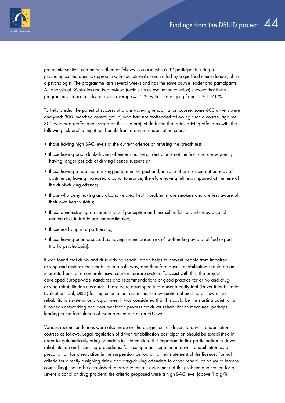

group intervention' can be described as follows: a course with 6–12 participants, using a psychological therapeutic approach with educational elements, led by a qualified course leader, often a psychologist. The programme lasts several weeks and has the same course leader and participants. An analysis of 36 studies and two reviews (recidivism as evaluation criterion) showed that these programmes reduce recidivism by on average 45.5 %, with rates varying from 15 % to 71 %.

To help predict the potential success of a drink-driving rehabilitation course, some 600 drivers were analysed: 300 (matched control group) who had not reoffended following such a course, against 300 who had reoffended. Based on this, the project deduced that drink-driving offenders with the following risk profile might not benefit from a driver rehabilitation course:

- those having high BAC levels at the current offence or refusing the breath test;
- those having prior drink-driving offences (i.e. the current one is not the first) and consequently having longer periods of driving licence suspension;
- those having a habitual drinking pattern in the past and, in spite of past or current periods of abstinence, having increased alcohol tolerance, therefore having felt less impaired at the time of the drink-driving offence;
- those who deny having any alcohol-related health problems, are smokers and are less aware of their own health status;
- those demonstrating an unrealistic self-perception and less self-reflection, whereby alcoholrelated risks in traffic are underestimated;
- those not living in a partnership:
- those having been assessed as having an increased risk of reoffending by a qualified expert (traffic psychologist).

It was found that drink- and drug-driving rehabilitation helps to prevent people from impaired driving and restores their mobility in a safe way, and therefore driver rehabilitation should be an integrated part of a comprehensive countermeasure system. To assist with this, the project developed Europe-wide standards and recommendations of good practice for drink- and drugdriving rehabilitation measures. These were developed into a user-friendly tool (Driver Rehabilitation Evaluation Tool, DRET) for implementation, assessment or evaluation of existing or new driver rehabilitation systems or programmes. It was considered that this could be the starting point for a European networking and documentation process for driver rehabilitation measures, perhaps leading to the formulation of main procedures at an EU level.

Various recommendations were also made on the assignment of drivers to driver rehabilitation courses as follows. Legal regulation of driver rehabilitation participation should be established in order to systematically bring offenders to intervention. It is important to link participation in driver rehabilitation and licensing procedures, for example participation in driver rehabilitation as a precondition for a reduction in the suspension period or for reinstatement of the licence. Formal criteria for directly assigning drink- and drug-driving offenders to driver rehabilitation (or at least to counselling) should be established in order to initiate awareness of the problem and screen for a severe alcohol or drug problem; the criteria proposed were a high BAC level (above 1.6 g/l),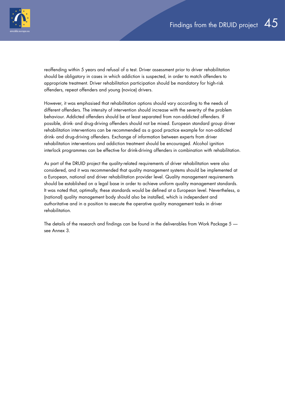

reoffending within 5 years and refusal of a test. Driver assessment prior to driver rehabilitation should be obligatory in cases in which addiction is suspected, in order to match offenders to appropriate treatment. Driver rehabilitation participation should be mandatory for high-risk offenders, repeat offenders and young (novice) drivers.

However, it was emphasised that rehabilitation options should vary according to the needs of different offenders. The intensity of intervention should increase with the severity of the problem behaviour. Addicted offenders should be at least separated from non-addicted offenders. If possible, drink- and drug-driving offenders should not be mixed. European standard group driver rehabilitation interventions can be recommended as a good practice example for non-addicted drink- and drug-driving offenders. Exchange of information between experts from driver rehabilitation interventions and addiction treatment should be encouraged. Alcohol ignition interlock programmes can be effective for drink-driving offenders in combination with rehabilitation.

As part of the DRUID project the quality-related requirements of driver rehabilitation were also considered, and it was recommended that quality management systems should be implemented at a European, national and driver rehabilitation provider level. Quality management requirements should be established on a legal base in order to achieve uniform quality management standards. It was noted that, optimally, these standards would be defined at a European level. Nevertheless, a (national) quality management body should also be installed, which is independent and authoritative and in a position to execute the operative quality management tasks in driver rehabilitation.

The details of the research and findings can be found in the deliverables from Work Package 5 see Annex 3.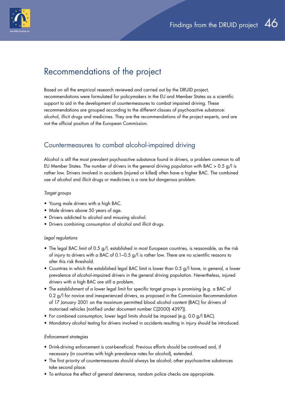<span id="page-45-0"></span>

## Recommendations of the project

Based on all the empirical research reviewed and carried out by the DRUID project, recommendations were formulated for policymakers in the EU and Member States as a scientific support to aid in the development of countermeasures to combat impaired driving. These recommendations are grouped according to the different classes of psychoactive substance: alcohol, illicit drugs and medicines. They are the recommendations of the project experts, and are not the official position of the European Commission.

### Countermeasures to combat alcohol-impaired driving

Alcohol is still the most prevalent psychoactive substance found in drivers, a problem common to all EU Member States. The number of drivers in the general driving population with BAC > 0.5 g/l is rather low. Drivers involved in accidents (injured or killed) often have a higher BAC. The combined use of alcohol and illicit drugs or medicines is a rare but dangerous problem.

#### *Target groups*

- Young male drivers with a high BAC.
- Male drivers above 50 years of age.
- Drivers addicted to alcohol and misusing alcohol.
- Drivers combining consumption of alcohol and illicit drugs.

#### *Legal regulations*

- The legal BAC limit of 0.5 g/l, established in most European countries, is reasonable, as the risk of injury to drivers with a BAC of 0.1–0.5 g/l is rather low. There are no scientific reasons to alter this risk threshold.
- Countries in which the established legal BAC limit is lower than 0.5 g/l have, in general, a lower prevalence of alcohol-impaired drivers in the general driving population. Nevertheless, injured drivers with a high BAC are still a problem.
- The establishment of a lower legal limit for specific target groups is promising (e.g. a BAC of 0.2 g/l for novice and inexperienced drivers, as proposed in the Commission Recommendation of 17 January 2001 on the maximum permitted blood alcohol content (BAC) for drivers of motorised vehicles (notified under document number C(2000) 4397)).
- For combined consumption, lower legal limits should be imposed (e.g. 0.0 g/l BAC).
- Mandatory alcohol testing for drivers involved in accidents resulting in injury should be introduced.

#### *Enforcement strategies*

- Drink-driving enforcement is cost-beneficial. Previous efforts should be continued and, if necessary (in countries with high prevalence rates for alcohol), extended.
- The first priority of countermeasures should always be alcohol; other psychoactive substances take second place.
- To enhance the effect of general deterrence, random police checks are appropriate.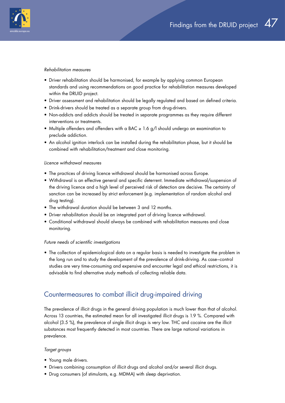<span id="page-46-0"></span>

#### *Rehabilitation measures*

- Driver rehabilitation should be harmonised, for example by applying common European standards and using recommendations on good practice for rehabilitation measures developed within the DRUID project.
- Driver assessment and rehabilitation should be legally regulated and based on defined criteria.
- Drink-drivers should be treated as a separate group from drug-drivers.
- Non-addicts and addicts should be treated in separate programmes as they require different interventions or treatments.
- Multiple offenders and offenders with a BAC ≥ 1.6 g/l should undergo an examination to preclude addiction.
- An alcohol ignition interlock can be installed during the rehabilitation phase, but it should be combined with rehabilitation/treatment and close monitoring.

#### *Licence withdrawal measures*

- The practices of driving licence withdrawal should be harmonised across Europe.
- Withdrawal is an effective general and specific deterrent. Immediate withdrawal/suspension of the driving licence and a high level of perceived risk of detection are decisive. The certainty of sanction can be increased by strict enforcement (e.g. implementation of random alcohol and drug testing).
- The withdrawal duration should be between 3 and 12 months.
- Driver rehabilitation should be an integrated part of driving licence withdrawal.
- Conditional withdrawal should always be combined with rehabilitation measures and close monitoring.

#### *Future needs of scientific investigations*

• The collection of epidemiological data on a regular basis is needed to investigate the problem in the long run and to study the development of the prevalence of drink-driving. As case–control studies are very time-consuming and expensive and encounter legal and ethical restrictions, it is advisable to find alternative study methods of collecting reliable data.

### Countermeasures to combat illicit drug-impaired driving

The prevalence of illicit drugs in the general driving population is much lower than that of alcohol. Across 13 countries, the estimated mean for all investigated illicit drugs is 1.9 %. Compared with alcohol (3.5 %), the prevalence of single illicit drugs is very low. THC and cocaine are the illicit substances most frequently detected in most countries. There are large national variations in prevalence.

#### *Target groups*

- Young male drivers.
- Drivers combining consumption of illicit drugs and alcohol and/or several illicit drugs.
- Drug consumers (of stimulants, e.g. MDMA) with sleep deprivation.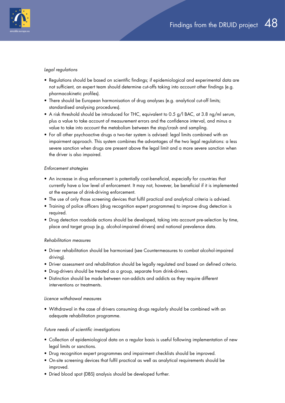

#### *Legal regulations*

- Regulations should be based on scientific findings; if epidemiological and experimental data are not sufficient, an expert team should determine cut-offs taking into account other findings (e.g. pharmacokinetic profiles).
- There should be European harmonisation of drug analyses (e.g. analytical cut-off limits; standardised analysing procedures).
- A risk threshold should be introduced for THC, equivalent to 0.5 g/l BAC, at 3.8 ng/ml serum, plus a value to take account of measurement errors and the confidence interval, and minus a value to take into account the metabolism between the stop/crash and sampling.
- For all other psychoactive drugs a two-tier system is advised: legal limits combined with an impairment approach. This system combines the advantages of the two legal regulations: a less severe sanction when drugs are present above the legal limit and a more severe sanction when the driver is also impaired.

#### *Enforcement strategies*

- An increase in drug enforcement is potentially cost-beneficial, especially for countries that currently have a low level of enforcement. It may not, however, be beneficial if it is implemented at the expense of drink-driving enforcement.
- The use of only those screening devices that fulfil practical and analytical criteria is advised.
- Training of police officers (drug recognition expert programmes) to improve drug detection is required.
- Drug detection roadside actions should be developed, taking into account pre-selection by time, place and target group (e.g. alcohol-impaired drivers) and national prevalence data.

### *Rehabilitation measures*

- Driver rehabilitation should be harmonised (see Countermeasures to combat alcohol-impaired driving).
- Driver assessment and rehabilitation should be legally regulated and based on defined criteria.
- Drug-drivers should be treated as a group, separate from drink-drivers.
- Distinction should be made between non-addicts and addicts as they require different interventions or treatments.

### *Licence withdrawal measures*

• Withdrawal in the case of drivers consuming drugs regularly should be combined with an adequate rehabilitation programme.

### *Future needs of scientific investigations*

- Collection of epidemiological data on a regular basis is useful following implementation of new legal limits or sanctions.
- Drug recognition expert programmes and impairment checklists should be improved.
- On-site screening devices that fulfil practical as well as analytical requirements should be improved.
- Dried blood spot (DBS) analysis should be developed further.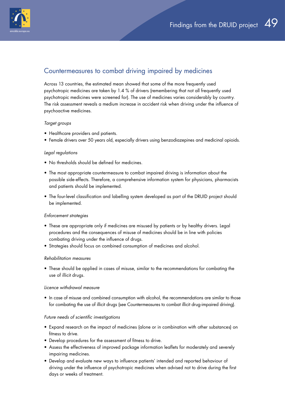<span id="page-48-0"></span>

### Countermeasures to combat driving impaired by medicines

Across 13 countries, the estimated mean showed that some of the more frequently used psychotropic medicines are taken by 1.4 % of drivers (remembering that not all frequently used psychotropic medicines were screened for). The use of medicines varies considerably by country. The risk assessment reveals a medium increase in accident risk when driving under the influence of psychoactive medicines.

#### *Target groups*

- Healthcare providers and patients.
- Female drivers over 50 years old, especially drivers using benzodiazepines and medicinal opioids.

#### *Legal regulations*

- No thresholds should be defined for medicines.
- The most appropriate countermeasure to combat impaired driving is information about the possible side-effects. Therefore, a comprehensive information system for physicians, pharmacists and patients should be implemented.
- The four-level classification and labelling system developed as part of the DRUID project should be implemented.

#### *Enforcement strategies*

- These are appropriate only if medicines are misused by patients or by healthy drivers. Legal procedures and the consequences of misuse of medicines should be in line with policies combating driving under the influence of drugs.
- Strategies should focus on combined consumption of medicines and alcohol.

#### *Rehabilitation measures*

• These should be applied in cases of misuse, similar to the recommendations for combating the use of illicit drugs.

#### *Licence withdrawal measure*

• In case of misuse and combined consumption with alcohol, the recommendations are similar to those for combating the use of illicit drugs (see Countermeasures to combat illicit drug-impaired driving).

#### *Future needs of scientific investigations*

- Expand research on the impact of medicines (alone or in combination with other substances) on fitness to drive.
- Develop procedures for the assessment of fitness to drive.
- Assess the effectiveness of improved package information leaflets for moderately and severely impairing medicines.
- Develop and evaluate new ways to influence patients' intended and reported behaviour of driving under the influence of psychotropic medicines when advised not to drive during the first days or weeks of treatment.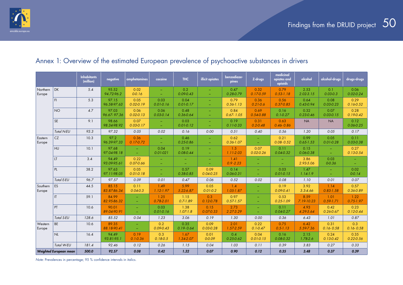<span id="page-49-0"></span>

#### Inhabitants habitants negative amphetamines cocaine THC illicit opiates benzodiaze-<br>(million) negative amphetamines cocaine THC illicit opiates pines benzodiaze- z-drugs<br>pines z-drugs medicinal opiates and opioids alcohol alcohol-drugs drugs-drugs Northern Europe DK 5.4 95.52 *94.72-96.2* 0.02 *0-0.16* – – 0.2 *0.09-0.43* – – 0.47 *0.28-0.79* 0.32 *0.17-0.59* 0.79 *0.53-1.18* 2.53 *2.02-3.15* 0.1 *0.03-0.3* 0.06 *0.02-0.24* FI 5.3 97.15 *96.58-97.63* 0.05 *0.02-0.19* 0.03 *0.01-0.16* 0.04 *0.01-0.17* – – 0.79 *0.56-1.13* 0.36 *0.21-0.6* 0.56 *0.37-0.85* 0.64 *0.43-0.94* 0.08 *0.03-0.23* 0.29 *0.16-0.52* NO 4.7 97.03 *96.67- 97.36* 0.06 *0.02-0.13* 0.06 *0.03-0.14* 0.48 *0.36-0.64* – – 0.84 *0.67- 1.05* 0.69 *0.54-0.88* 0.16 *0.1-0.27* 0.32 *0.23-0.46* 0.07 *0.03-0.15* 0.28 *0.19-0.42* SE 9.1 98.66 *98.34-98.92* 0.07 *0.03-0.17* – – 0.03 *0.01-0.12* – – 0.19 *0.11-0.33* 0.31 *0.2-0.48* 0.63 *0.46- 0.86* NA | NA | 0.12 *0.06-0.25 Total N-EU 93.3 97.32 0.05 0.02 0.16 0.00 0.51 0.40 0.56 1.20 0.05 0.17* **Eastern Europe** CZ 10.3 97.2 *96.39-97.33* 0.36 *0.17-0.72* – – 0.46 *0.25-0.86* – – 0.62 *0.36-1.07* – – 0.21 *0.08- 0.52* 0.99 *0.65-1.53* 0.05 *0.01-0.28* 0.11 *0.03-0.38* HU 10.1 97.68 *97.04-98.18* –  $\equiv$ 0.04 *0.01-021* 0.19 *0.08-0.44* – – 1.5 *1.11-2.03* 0.07 *0.02-0.26* 0.11 *0.04-0.32* 0.15 *0.06-0.38* – – 0.27 *0.13-0.54*  $|11$  3.4 94.49 *93.09-95.61* 0.22 *0.07-0.66* – – – – – – 1.41 *0.9 -2.23* – – – – 3.86 *2.93-5.06* 0.03 *0-0.36* – – PL 38.2 97.63 *97.11-98.05* 0.05 *0.01-0.18* – – 0.57 *0.38-0.85* 0.09 *0.04-0.25* 0.14 *0.06-0.31* – – 0.03 *0.01-0.15* 1.47 *1.14-1.9* –  $\equiv$ 0.02 *0-0.14 Total E-EU 96.7 97.57 0.09 0.01 0.47 0.06 0.52 0.02 0.08 1.10 0.01 0.07* Southern Europe | ES | 44.5 | 85.15 *83.87-86.34* 0.11 *0.04-0.3* 1.49 *1.12-1.97* 5.99 *5.22-6.87* 0.05 *0.01-0.2* 1.4 *1.05-1.87* – – 0.19 *0.09-0.41* 3.92 *3.3-4.66* 1.14 *0.83-1.58* 0.57 *0.36-0.89*  $|\mathsf{IT}|$  59.1 84.99 *82.95-86.32* – – 1.25 *0.78-2.01* 1.15 *0.7-1.89* 0.3 *0.12-0.78* 0.97 *0.57-1.57* – – 0.53 *0.25-1.09* 8.59 *7.19-10.23* 1.01 *0.59-1.71* 1.22 *0.75-1.97* PT 10.6 90.01 *89.04-90.91* – – 0.03 *0.01-0.16* 1.38 *1.07-1.8* 0.15 *0.07-0.33* 2.73 *2.27-3.29* – – 0.11 *0.04-0.27* 4.93 *4.29-5.64* 0.42 *0.26-0.67* 0.23 *0.12-0.44 Total S-EU 128.6 85.52 0.04 1.23 3.06 0.19 1.30 0.00 0.36 6.43 1.01 0.87* Western Europe | BE | 10.6 89.35 *88.18-90.41* – – 0.2 *0.09-0.43* 0.35 *0.19- 0.64* 0.09 *0.03-0.28* 2.01 *1.57-2.59* 0.22 *0.1-0.47* 0.75 *0.5-1.13* 6.42 *5.59-7.36* 0.31 *0.16- 0.58* 0.3 *0.16- 0.58* NL 16.4 94.49 *93.81-95.1* 0.19 *0.1-0.36* 0.3 *0.18-0.5* 1.67 *1.34-2.07* 0.01 *0-0.09* 0.4 *0.25-0.62* 0.04 *0.01-0.15* 0.16 *0.08-0.32* 2.15 *1.78-2.6* 0.24 *0.13-0.42* 0.35 *0.22-0.56 Total W-EU 181.4 92.46 0.12 0.26 1.15 0.04 1.03 0.11 0.39 3.83 0.27 0.33 Weighted European mean 500.0 92.57 0.08 0.42 1.32 0.07 0.90 0.12 0.35 3.48 0.37 0.39*

### Annex 1: Overview of the estimated European prevalence of psychoactive substances in drivers

*Note: Prevalences in percentage; 95 % confidence intervals in italics.*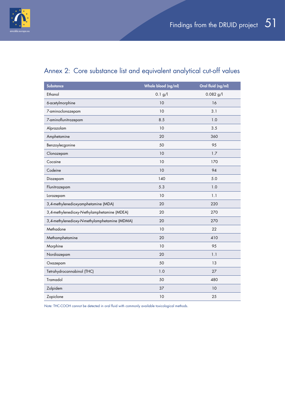<span id="page-50-0"></span>

## Annex 2: Core substance list and equivalent analytical cut-off values

| <b>Substance</b>                              | Whole blood (ng/ml) | Oral fluid (ng/ml) |
|-----------------------------------------------|---------------------|--------------------|
| Ethanol                                       | 0.1 g/l             | $0.082$ g/l        |
| 6-acetylmorphine                              | 10                  | 16                 |
| 7-aminoclonazepam                             | 10                  | 3.1                |
| 7-aminoflunitrazepam                          | 8.5                 | 1.0                |
| Alprazolam                                    | 10                  | 3.5                |
| Amphetamine                                   | 20                  | 360                |
| Benzoylecgonine                               | 50                  | 95                 |
| Clonazepam                                    | 10                  | 1.7                |
| Cocaine                                       | 10                  | 170                |
| Codeine                                       | 10                  | 94                 |
| Diazepam                                      | 140                 | 5.0                |
| Flunitrazepam                                 | 5.3                 | 1.0                |
| Lorazepam                                     | 10                  | 1.1                |
| 3,4-methylenedioxyamphetamine (MDA)           | 20                  | 220                |
| 3,4-methylenedioxy-N-ethylamphetamine (MDEA)  | 20                  | 270                |
| 3,4-methylenedioxy-N-methylamphetamine (MDMA) | 20                  | 270                |
| Methadone                                     | 10                  | 22                 |
| Methamphetamine                               | 20                  | 410                |
| Morphine                                      | 10                  | 95                 |
| Nordiazepam                                   | 20                  | 1.1                |
| Oxazepam                                      | 50                  | 13                 |
| Tetrahydrocannabinol (THC)                    | 1.0                 | 27                 |
| Tramadol                                      | 50                  | 480                |
| Zolpidem                                      | 37                  | 10                 |
| Zopiclone                                     | 10                  | 25                 |

*Note:* THC-COOH cannot be detected in oral fluid with commonly available toxicological methods.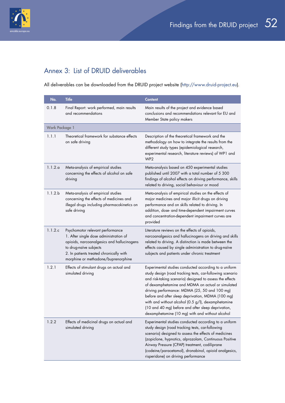<span id="page-51-0"></span>

## Annex 3: List of DRUID deliverables

All deliverables can be downloaded from the DRUID project website ([http://www.druid-project.eu\)](http://www.druid-project.eu).

| No.                   | <b>Title</b>                                                                                                                                                                                                                         | <b>Content</b>                                                                                                                                                                                                                                                                                                                                                                                                                                                                                           |
|-----------------------|--------------------------------------------------------------------------------------------------------------------------------------------------------------------------------------------------------------------------------------|----------------------------------------------------------------------------------------------------------------------------------------------------------------------------------------------------------------------------------------------------------------------------------------------------------------------------------------------------------------------------------------------------------------------------------------------------------------------------------------------------------|
| 0.1.8                 | Final Report: work performed, main results<br>and recommendations                                                                                                                                                                    | Main results of the project and evidence based<br>conclusions and recommendations relevant for EU and<br>Member State policy makers                                                                                                                                                                                                                                                                                                                                                                      |
| <b>Work Package 1</b> |                                                                                                                                                                                                                                      |                                                                                                                                                                                                                                                                                                                                                                                                                                                                                                          |
| 1.1.1                 | Theoretical framework for substance effects<br>on safe driving                                                                                                                                                                       | Description of the theoretical framework and the<br>methodology on how to integrate the results from the<br>different study types (epidemiological research,<br>experimental research, literature reviews) of WP1 and<br>WP <sub>2</sub>                                                                                                                                                                                                                                                                 |
| 1.1.2.a               | Meta-analysis of empirical studies<br>concerning the effects of alcohol on safe<br>driving                                                                                                                                           | Meta-analysis based on 450 experimental studies<br>published until 2007 with a total number of 5 300<br>findings of alcohol effects on driving performance, skills<br>related to driving, social behaviour or mood                                                                                                                                                                                                                                                                                       |
| 1.1.2.b               | Meta-analysis of empirical studies<br>concerning the effects of medicines and<br>illegal drugs including pharmacokinetics on<br>safe driving                                                                                         | Meta-analysis of empirical studies on the effects of<br>major medicines and major illicit drugs on driving<br>performance and on skills related to driving. In<br>addition, dose- and time-dependent impairment curves<br>and concentration-dependent impairment curves are<br>provided                                                                                                                                                                                                                  |
| 1.1.2.c               | Psychomotor relevant performance<br>1. After single dose administration of<br>opioids, narcoanalgesics and hallucinogens<br>to drug-naïve subjects<br>2. In patients treated chronically with<br>morphine or methadone/buprenorphine | Literature reviews on the effects of opioids,<br>narcoanalgesics and hallucinogens on driving and skills<br>related to driving. A distinction is made between the<br>effects caused by single administration to drug-naïve<br>subjects and patients under chronic treatment                                                                                                                                                                                                                              |
| 1.2.1                 | Effects of stimulant drugs on actual and<br>simulated driving                                                                                                                                                                        | Experimental studies conducted according to a uniform<br>study design (road tracking tests, car-following scenario<br>and risk-taking scenario) designed to assess the effects<br>of dexamphetamine and MDMA on actual or simulated<br>driving performance: MDMA (25, 50 and 100 mg)<br>before and after sleep deprivation, MDMA (100 mg)<br>with and without alcohol (0.5 g/l), dexamphetamine<br>(10 and 40 mg) before and after sleep deprivation,<br>dexamphetamine (10 mg) with and without alcohol |
| 1.2.2                 | Effects of medicinal drugs on actual and<br>simulated driving                                                                                                                                                                        | Experimental studies conducted according to a uniform<br>study design (road tracking tests, car-following<br>scenario) designed to assess the effects of medicines<br>(zopiclone, hypnotics, alprazolam, Continuous Positive<br>Airway Pressure (CPAP) treatment, codiliprane<br>(codeine/paracetamol), dronabinol, opioid analgesics,<br>risperidone) on driving performance                                                                                                                            |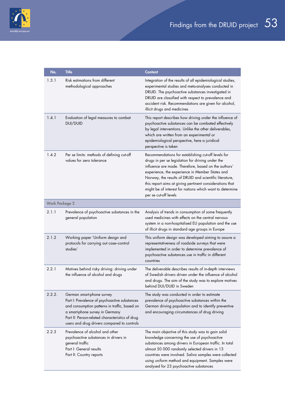

| No.                   | <b>Title</b>                                                                                                                                                                                                                                                     | <b>Content</b>                                                                                                                                                                                                                                                                                                                                                                                                                  |
|-----------------------|------------------------------------------------------------------------------------------------------------------------------------------------------------------------------------------------------------------------------------------------------------------|---------------------------------------------------------------------------------------------------------------------------------------------------------------------------------------------------------------------------------------------------------------------------------------------------------------------------------------------------------------------------------------------------------------------------------|
| 1.3.1                 | Risk estimations from different<br>methodological approaches                                                                                                                                                                                                     | Integration of the results of all epidemiological studies,<br>experimental studies and meta-analyses conducted in<br>DRUID. The psychoactive substances investigated in<br>DRUID are classified with respect to prevalence and<br>accident risk. Recommendations are given for alcohol,<br>illicit drugs and medicines                                                                                                          |
| 1.4.1                 | Evaluation of legal measures to combat<br>DUI/DUID                                                                                                                                                                                                               | This report describes how driving under the influence of<br>psychoactive substances can be combated effectively<br>by legal interventions. Unlike the other deliverables,<br>which are written from an experimental or<br>epidemiological perspective, here a juridical<br>perspective is taken                                                                                                                                 |
| 1.4.2                 | Per se limits: methods of defining cut-off<br>values for zero tolerance                                                                                                                                                                                          | Recommendations for establishing cut-off levels for<br>drugs in per se legislation for driving under the<br>influence are made. Therefore, based on the authors'<br>experience, the experience in Member States and<br>Norway, the results of DRUID and scientific literature,<br>this report aims at giving pertinent considerations that<br>might be of interest for nations which want to determine<br>per se cut-off levels |
| <b>Work Package 2</b> |                                                                                                                                                                                                                                                                  |                                                                                                                                                                                                                                                                                                                                                                                                                                 |
| 2.1.1                 | Prevalence of psychoactive substances in the<br>general population                                                                                                                                                                                               | Analysis of trends in consumption of some frequently<br>used medicines with effects on the central nervous<br>system in a non-hospitalised EU population and the use<br>of illicit drugs in standard age groups in Europe                                                                                                                                                                                                       |
| 2.1.2                 | Working paper 'Uniform design and<br>protocols for carrying out case-control<br>studies'                                                                                                                                                                         | This uniform design was developed aiming to assure a<br>representativeness of roadside surveys that were<br>implemented in order to determine prevalence of<br>psychoactive substances use in traffic in different<br>countries                                                                                                                                                                                                 |
| 2.2.1                 | Motives behind risky driving: driving under<br>the influence of alcohol and drugs                                                                                                                                                                                | The deliverable describes results of in-depth interviews<br>of Swedish drivers driven under the influence of alcohol<br>and drugs. The aim of the study was to explore motives<br>behind DUI/DUID in Sweden                                                                                                                                                                                                                     |
| 2.2.2.                | German smart-phone survey<br>Part I: Prevalence of psychoactive substances<br>and consumption patterns in traffic, based on<br>a smart-phone survey in Germany<br>Part II: Person-related characteristics of drug<br>users and drug drivers compared to controls | The study was conducted in order to estimate<br>prevalence of psychoactive substances within the<br>German driving population and to identify preventive<br>and encouraging circumstances of drug driving                                                                                                                                                                                                                       |
| 2.2.3                 | Prevalence of alcohol and other<br>psychoactive substances in drivers in<br>general traffic<br>Part I: General results<br>Part II: Country reports                                                                                                               | The main objective of this study was to gain solid<br>knowledge concerning the use of psychoactive<br>substances among drivers in European traffic. In total<br>almost 50 000 randomly selected drivers in 13<br>countries were involved. Saliva samples were collected<br>using uniform method and equipment. Samples were<br>analysed for 23 psychoactive substances                                                          |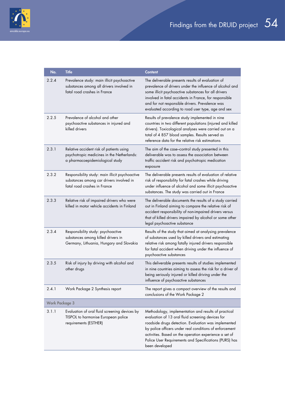

| No.                   | <b>Title</b>                                                                                                                | <b>Content</b>                                                                                                                                                                                                                                                                                                                                                     |
|-----------------------|-----------------------------------------------------------------------------------------------------------------------------|--------------------------------------------------------------------------------------------------------------------------------------------------------------------------------------------------------------------------------------------------------------------------------------------------------------------------------------------------------------------|
| 2.2.4                 | Prevalence study: main illicit psychoactive<br>substances among all drivers involved in<br>fatal road crashes in France     | The deliverable presents results of evaluation of<br>prevalence of drivers under the influence of alcohol and<br>some illicit psychoactive substances for all drivers<br>involved in fatal accidents in France, for responsible<br>and for not responsible drivers. Prevalence was<br>evaluated according to road user type, age and sex                           |
| 2.2.5                 | Prevalence of alcohol and other<br>psychoactive substances in injured and<br>killed drivers                                 | Results of prevalence study implemented in nine<br>countries in two different populations (injured and killed<br>drivers). Toxicological analyses were carried out on a<br>total of 4 857 blood samples. Results served as<br>reference data for the relative risk estimations                                                                                     |
| 2.3.1                 | Relative accident risk of patients using<br>psychotropic medicines in the Netherlands:<br>a pharmacoepidemiological study   | The aim of the case-control study presented in this<br>deliverable was to assess the association between<br>traffic accident risk and psychotropic medication<br>exposure                                                                                                                                                                                          |
| 2.3.2                 | Responsibility study: main illicit psychoactive<br>substances among car drivers involved in<br>fatal road crashes in France | The deliverable presents results of evaluation of relative<br>risk of responsibility for fatal crashes while driving<br>under influence of alcohol and some illicit psychoactive<br>substances. The study was carried out in France                                                                                                                                |
| 2.3.3                 | Relative risk of impaired drivers who were<br>killed in motor vehicle accidents in Finland                                  | The deliverable documents the results of a study carried<br>out in Finland aiming to compare the relative risk of<br>accident responsibility of non-impaired drivers versus<br>that of killed drivers impaired by alcohol or some other<br>legal psychoactive substance                                                                                            |
| 2.3.4                 | Responsibility study: psychoactive<br>substances among killed drivers in<br>Germany, Lithuania, Hungary and Slovakia        | Results of the study that aimed at analysing prevalence<br>of substances used by killed drivers and estimating<br>relative risk among fatally injured drivers responsible<br>for fatal accident when driving under the influence of<br>psychoactive substances                                                                                                     |
| 2.3.5                 | Risk of injury by driving with alcohol and<br>other drugs                                                                   | This deliverable presents results of studies implemented<br>in nine countries aiming to assess the risk for a driver of<br>being seriously injured or killed driving under the<br>influence of psychoactive substances                                                                                                                                             |
| 2.4.1                 | Work Package 2 Synthesis report                                                                                             | The report gives a compact overview of the results and<br>conclusions of the Work Package 2                                                                                                                                                                                                                                                                        |
| <b>Work Package 3</b> |                                                                                                                             |                                                                                                                                                                                                                                                                                                                                                                    |
| 3.1.1                 | Evaluation of oral fluid screening devices by<br>TISPOL to harmonise European police<br>requirements (ESTHER)               | Methodology, implementation and results of practical<br>evaluation of 13 oral fluid screening devices for<br>roadside drugs detection. Evaluation was implemented<br>by police officers under real conditions of enforcement<br>activities. Based on the operation experience a set of<br>Police User Requirements and Specifications (PURS) has<br>been developed |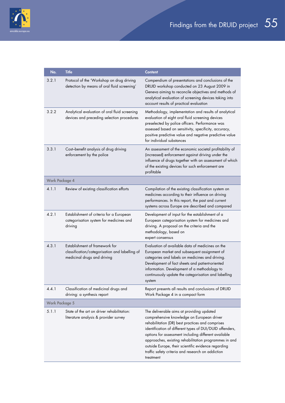

| No.                   | <b>Title</b>                                                                                                    | <b>Content</b>                                                                                                                                                                                                                                                                                                                                                                                                                                    |
|-----------------------|-----------------------------------------------------------------------------------------------------------------|---------------------------------------------------------------------------------------------------------------------------------------------------------------------------------------------------------------------------------------------------------------------------------------------------------------------------------------------------------------------------------------------------------------------------------------------------|
| 3.2.1                 | Protocol of the 'Workshop on drug driving<br>detection by means of oral fluid screening'                        | Compendium of presentations and conclusions of the<br>DRUID workshop conducted on 23 August 2009 in<br>Geneva aiming to reconcile objectives and methods of<br>analytical evaluation of screening devices taking into<br>account results of practical evaluation                                                                                                                                                                                  |
| 3.2.2                 | Analytical evaluation of oral fluid screening<br>devices and preceding selection procedures                     | Methodology, implementation and results of analytical<br>evaluation of eight oral fluid screening devices<br>preselected by police officers. Performance was<br>assessed based on sensitivity, specificity, accuracy,<br>positive predictive value and negative predictive value<br>for individual substances                                                                                                                                     |
| 3.3.1                 | Cost-benefit analysis of drug driving<br>enforcement by the police                                              | An assessment of the economic societal profitability of<br>(increased) enforcement against driving under the<br>influence of drugs together with an assessment of which<br>of the existing devices for such enforcement are<br>profitable                                                                                                                                                                                                         |
| <b>Work Package 4</b> |                                                                                                                 |                                                                                                                                                                                                                                                                                                                                                                                                                                                   |
| 4.1.1                 | Review of existing classification efforts                                                                       | Compilation of the existing classification system on<br>medicines according to their influence on driving<br>performances. In this report, the past and current<br>systems across Europe are described and compared                                                                                                                                                                                                                               |
| 4.2.1                 | Establishment of criteria for a European<br>categorisation system for medicines and<br>driving                  | Development of input for the establishment of a<br>European categorisation system for medicines and<br>driving. A proposal on the criteria and the<br>methodology, based on<br>expert consensus                                                                                                                                                                                                                                                   |
| 4.3.1                 | Establishment of framework for<br>classification/categorisation and labelling of<br>medicinal drugs and driving | Evaluation of available data of medicines on the<br>European market and subsequent assignment of<br>categories and labels on medicines and driving.<br>Development of fact sheets and patient-oriented<br>information. Development of a methodology to<br>continuously update the categorisation and labelling<br>system                                                                                                                          |
| 4.4.1                 | Classification of medicinal drugs and<br>driving: a synthesis report                                            | Report presents all results and conclusions of DRUID<br>Work Package 4 in a compact form                                                                                                                                                                                                                                                                                                                                                          |
| <b>Work Package 5</b> |                                                                                                                 |                                                                                                                                                                                                                                                                                                                                                                                                                                                   |
| 5.1.1                 | State of the art on driver rehabilitation:<br>literature analysis & provider survey                             | The deliverable aims at providing updated<br>comprehensive knowledge on European driver<br>rehabilitation (DR) best practices and comprises<br>identification of different types of DUI/DUID offenders,<br>options for assessment including different available<br>approaches, existing rehabilitation programmes in and<br>outside Europe, their scientific evidence regarding<br>traffic safety criteria and research on addiction<br>treatment |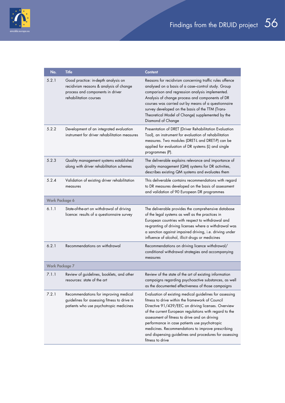

| No.                   | <b>Title</b>                                                                                                                                 | <b>Content</b>                                                                                                                                                                                                                                                                                                                                                                                                                                                   |
|-----------------------|----------------------------------------------------------------------------------------------------------------------------------------------|------------------------------------------------------------------------------------------------------------------------------------------------------------------------------------------------------------------------------------------------------------------------------------------------------------------------------------------------------------------------------------------------------------------------------------------------------------------|
| 5.2.1                 | Good practice: in-depth analysis on<br>recidivism reasons & analysis of change<br>process and components in driver<br>rehabilitation courses | Reasons for recidivism concerning traffic rules offence<br>analysed on a basis of a case-control study. Group<br>comparison and regression analysis implemented.<br>Analysis of change process and components of DR<br>courses was carried out by means of a questionnaire<br>survey developed on the basis of the TTM (Trans-<br>Theoretical Model of Change) supplemented by the<br>Diamond of Change                                                          |
| 5.2.2                 | Development of an integrated evaluation<br>instrument for driver rehabilitation measures                                                     | Presentation of DRET (Driver Rehabilitation Evaluation<br>Tool), an instrument for evaluation of rehabilitation<br>measures. Two modules (DRET-L and DRET-P) can be<br>applied for evaluation of DR systems (L) and single<br>programmes (P).                                                                                                                                                                                                                    |
| 5.2.3                 | Quality management systems established<br>along with driver rehabilitation schemes                                                           | The deliverable explains relevance and importance of<br>quality management (QM) systems for DR activities,<br>describes existing QM systems and evaluates them                                                                                                                                                                                                                                                                                                   |
| 5.2.4                 | Validation of existing driver rehabilitation<br>measures                                                                                     | This deliverable contains recommendations with regard<br>to DR measures developed on the basis of assessment<br>and validation of 90 European DR programmes                                                                                                                                                                                                                                                                                                      |
| <b>Work Package 6</b> |                                                                                                                                              |                                                                                                                                                                                                                                                                                                                                                                                                                                                                  |
| 6.1.1                 | State-of-the-art on withdrawal of driving<br>licence: results of a questionnaire survey                                                      | The deliverable provides the comprehensive database<br>of the legal systems as well as the practices in<br>European countries with respect to withdrawal and<br>re-granting of driving licenses where a withdrawal was<br>a sanction against impaired driving, i.e. driving under<br>influence of alcohol, illicit drugs or medicines                                                                                                                            |
| 6.2.1                 | Recommendations on withdrawal                                                                                                                | Recommendations on driving licence withdrawal/<br>conditional withdrawal strategies and accompanying<br>measures                                                                                                                                                                                                                                                                                                                                                 |
| <b>Work Package 7</b> |                                                                                                                                              |                                                                                                                                                                                                                                                                                                                                                                                                                                                                  |
| 7.1.1                 | Review of guidelines, booklets, and other<br>resources: state of the art                                                                     | Review of the state of the art of existing information<br>campaigns regarding psychoactive substances, as well<br>as the documented effectiveness of those campaigns                                                                                                                                                                                                                                                                                             |
| 7.2.1                 | Recommendations for improving medical<br>guidelines for assessing fitness to drive in<br>patients who use psychotropic medicines             | Evaluation of existing medical guidelines for assessing<br>fitness to drive within the framework of Council<br>Directive 91/439/EEC on driving licenses. Overview<br>of the current European regulations with regard to the<br>assessment of fitness to drive and on driving<br>performance in case patients use psychotropic<br>medicines. Recommendations to improve prescribing<br>and dispensing guidelines and procedures for assessing<br>fitness to drive |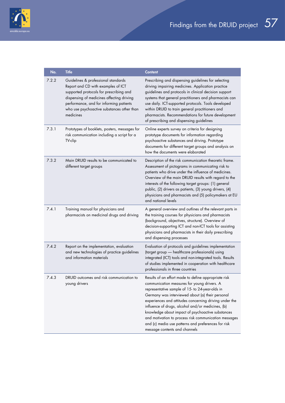

| No.   | <b>Title</b>                                                                                                                                                                                                                                                            | <b>Content</b>                                                                                                                                                                                                                                                                                                                                                                                                                                                                                                                  |
|-------|-------------------------------------------------------------------------------------------------------------------------------------------------------------------------------------------------------------------------------------------------------------------------|---------------------------------------------------------------------------------------------------------------------------------------------------------------------------------------------------------------------------------------------------------------------------------------------------------------------------------------------------------------------------------------------------------------------------------------------------------------------------------------------------------------------------------|
| 7.2.2 | Guidelines & professional standards<br>Report and CD with examples of ICT<br>supported protocols for prescribing and<br>dispensing of medicines affecting driving<br>performance, and for informing patients<br>who use psychoactive substances other than<br>medicines | Prescribing and dispensing guidelines for selecting<br>driving impairing medicines. Application practice<br>guidelines and protocols in clinical decision support<br>systems that general practitioners and pharmacists can<br>use daily. ICT-supported protocols. Tools developed<br>within DRUID to train general practitioners and<br>pharmacists. Recommendations for future development<br>of prescribing and dispensing guidelines                                                                                        |
| 7.3.1 | Prototypes of booklets, posters, messages for<br>risk communication including a script for a<br>TV-clip                                                                                                                                                                 | Online experts survey on criteria for designing<br>prototype documents for information regarding<br>psychoactive substances and driving. Prototype<br>documents for different target groups and analysis on<br>how the documents were elaborated                                                                                                                                                                                                                                                                                |
| 7.3.2 | Main DRUID results to be communicated to<br>different target groups                                                                                                                                                                                                     | Description of the risk communication theoretic frame.<br>Assessment of pictograms in communicating risk to<br>patients who drive under the influence of medicines.<br>Overview of the main DRUID results with regard to the<br>interests of the following target groups: (1) general<br>public, (2) drivers as patients, (3) young drivers, (4)<br>physicians and pharmacists and (5) policymakers at EU<br>and national levels                                                                                                |
| 7.4.1 | Training manual for physicians and<br>pharmacists on medicinal drugs and driving                                                                                                                                                                                        | A general overview and outlines of the relevant parts in<br>the training courses for physicians and pharmacists<br>(background, objectives, structure). Overview of<br>decision-supporting ICT and non-ICT tools for assisting<br>physicians and pharmacists in their daily prescribing<br>and dispensing processes                                                                                                                                                                                                             |
| 7.4.2 | Report on the implementation, evaluation<br>and new technologies of practice guidelines<br>and information materials                                                                                                                                                    | Evaluation of protocols and guidelines implementation<br>(target group - healthcare professionals) using<br>integrated (ICT) tools and non-integrated tools. Results<br>of studies implemented in cooperation with healthcare<br>professionals in three countries                                                                                                                                                                                                                                                               |
| 7.4.3 | DRUID outcomes and risk communication to<br>young drivers                                                                                                                                                                                                               | Results of an effort made to define appropriate risk<br>communication measures for young drivers. A<br>representative sample of 15- to 24-year-olds in<br>Germany was interviewed about (a) their personal<br>experiences and attitudes concerning driving under the<br>influence of drugs, alcohol and/or medicines, (b)<br>knowledge about impact of psychoactive substances<br>and motivation to process risk communication messages<br>and (c) media use patterns and preferences for risk<br>message contents and channels |